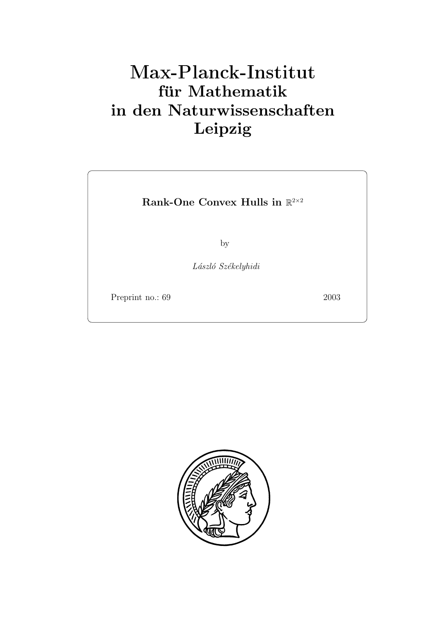# **für Mathematik in den Naturwissenschaften Leipzig**

**Rank-One Convex Hulls in** R<sup>2</sup>*×*<sup>2</sup>

by

*L´aszl´o Sz´ekelyhidi*

Preprint no.: 69 2003

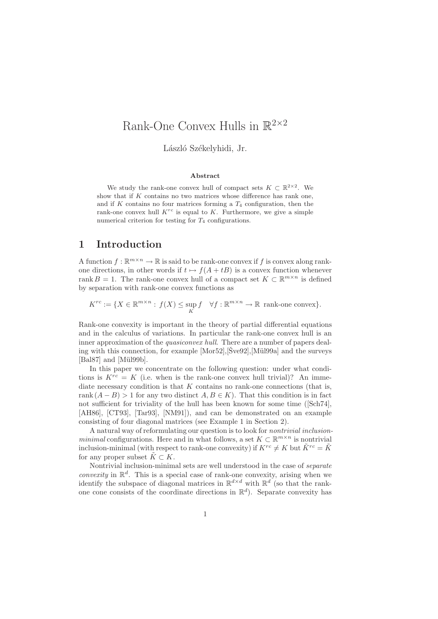# Rank-One Convex Hulls in  $\mathbb{R}^{2\times 2}$

László Székelyhidi, Jr.

#### **Abstract**

We study the rank-one convex hull of compact sets  $K \subset \mathbb{R}^{2 \times 2}$ . We show that if *K* contains no two matrices whose difference has rank one, and if *K* contains no four matrices forming a *T*<sup>4</sup> configuration, then the rank-one convex hull  $K^{rc}$  is equal to  $K$ . Furthermore, we give a simple numerical criterion for testing for *T*<sup>4</sup> configurations.

# **1 Introduction**

A function  $f : \mathbb{R}^{m \times n} \to \mathbb{R}$  is said to be rank-one convex if f is convex along rankone directions, in other words if  $t \mapsto f(A + tB)$  is a convex function whenever rank B = 1. The rank-one convex hull of a compact set  $K \subset \mathbb{R}^{m \times n}$  is defined by separation with rank-one convex functions as

$$
K^{rc} := \{ X \in \mathbb{R}^{m \times n} : f(X) \le \sup_K f \quad \forall f : \mathbb{R}^{m \times n} \to \mathbb{R} \text{ rank-one convex} \}.
$$

Rank-one convexity is important in the theory of partial differential equations and in the calculus of variations. In particular the rank-one convex hull is an inner approximation of the *quasiconvex hull*. There are a number of papers dealing with this connection, for example  $[Mor52]$ ,  $\mathrm{[Sve92]}$ ,  $[Mü199a]$  and the surveys [Bal87] and [Mül99b].

In this paper we concentrate on the following question: under what conditions is  $K^{rc} = K$  (i.e. when is the rank-one convex hull trivial)? An immediate necessary condition is that  $K$  contains no rank-one connections (that is, rank  $(A - B) > 1$  for any two distinct  $A, B \in K$ ). That this condition is in fact not sufficient for triviality of the hull has been known for some time ([Sch74], [AH86], [CT93], [Tar93], [NM91]), and can be demonstrated on an example consisting of four diagonal matrices (see Example 1 in Section 2).

A natural way of reformulating our question is to look for *nontrivial inclusionminimal* configurations. Here and in what follows, a set  $K \subset \mathbb{R}^{m \times n}$  is nontrivial inclusion-minimal (with respect to rank-one convexity) if  $K^{rc} \neq K$  but  $\tilde{K}^{rc} = \tilde{K}$ for any proper subset  $\tilde{K} \subset K$ .

Nontrivial inclusion-minimal sets are well understood in the case of *separate convexity* in  $\mathbb{R}^d$ . This is a special case of rank-one convexity, arising when we identify the subspace of diagonal matrices in  $\mathbb{R}^{d \times d}$  with  $\mathbb{R}^d$  (so that the rankone cone consists of the coordinate directions in  $\mathbb{R}^d$ ). Separate convexity has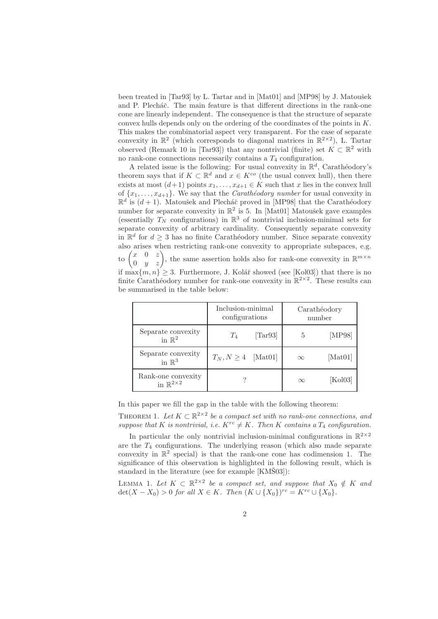been treated in  $[Tar93]$  by L. Tartar and in  $[Mat01]$  and  $[MP98]$  by J. Matoušek and P. Plecháč. The main feature is that different directions in the rank-one cone are linearly independent. The consequence is that the structure of separate convex hulls depends only on the ordering of the coordinates of the points in K. This makes the combinatorial aspect very transparent. For the case of separate convexity in  $\mathbb{R}^2$  (which corresponds to diagonal matrices in  $\mathbb{R}^{2\times 2}$ ), L. Tartar observed (Remark 10 in [Tar93]) that any nontrivial (finite) set  $K \subset \mathbb{R}^2$  with no rank-one connections necessarily contains a  $T_4$  configuration.

A related issue is the following: For usual convexity in  $\mathbb{R}^d$ , Carathéodory's theorem says that if  $K \subset \mathbb{R}^d$  and  $x \in K^{co}$  (the usual convex hull), then there exists at most  $(d+1)$  points  $x_1, \ldots, x_{d+1} \in K$  such that x lies in the convex hull of  $\{x_1, \ldots, x_{d+1}\}$ . We say that the *Carathieodory number* for usual convexity in  $\mathbb{R}^d$  is  $(d+1)$ . Matoušek and Plecháč proved in [MP98] that the Carathéodory number for separate convexity in  $\mathbb{R}^2$  is 5. In [Mat01] Matoušek gave examples (essentially  $T_N$  configurations) in  $\mathbb{R}^3$  of nontrivial inclusion-minimal sets for separate convexity of arbitrary cardinality. Consequently separate convexity in  $\mathbb{R}^d$  for  $d \geq 3$  has no finite Carathéodory number. Since separate convexity also arises when restricting rank-one convexity to appropriate subspaces, e.g. to  $\begin{pmatrix} x & 0 & z \\ 0 & y & z \end{pmatrix}$ , the same assertion holds also for rank-one convexity in  $\mathbb{R}^{m \times n}$ if  $\max\{m, n\} \geq 3$ . Furthermore, J. Kolář showed (see [Kol03]) that there is no finite Carathéodory number for rank-one convexity in  $\mathbb{R}^{2\times 2}$ . These results can be summarised in the table below:

|                                                   | Inclusion-minimal<br>configurations |                                | Carathéodory<br>number |         |
|---------------------------------------------------|-------------------------------------|--------------------------------|------------------------|---------|
| Separate convexity<br>in $\mathbb{R}^2$           | $T_4$                               | $\left[ \text{Tar} 93 \right]$ | 5                      | [MP98]  |
| Separate convexity<br>in $\mathbb{R}^3$           | $T_N, N \geq 4$ [Mat01]             |                                | $\infty$               | [Mat01] |
| Rank-one convexity<br>in $\mathbb{R}^{2\times 2}$ |                                     |                                | $\infty$               | [Kol03] |

In this paper we fill the gap in the table with the following theorem:

THEOREM 1. Let  $K \subset \mathbb{R}^{2 \times 2}$  be a compact set with no rank-one connections, and *suppose that* K *is nontrivial, i.e.*  $K^{rc} \neq K$ *. Then* K *contains a*  $T_4$  *configuration.* 

In particular the only nontrivial inclusion-minimal configurations in  $\mathbb{R}^{2\times 2}$ are the  $T_4$  configurations. The underlying reason (which also made separate convexity in  $\mathbb{R}^2$  special) is that the rank-one cone has codimension 1. The significance of this observation is highlighted in the following result, which is standard in the literature (see for example  $[KM\check{S}03]$ ):

LEMMA 1. Let  $K \subset \mathbb{R}^{2 \times 2}$  be a compact set, and suppose that  $X_0 \notin K$  and  $\det(X - X_0) > 0$  *for all*  $X \in K$ *. Then*  $(K \cup \{X_0\})^{rc} = K^{rc} \cup \{X_0\}.$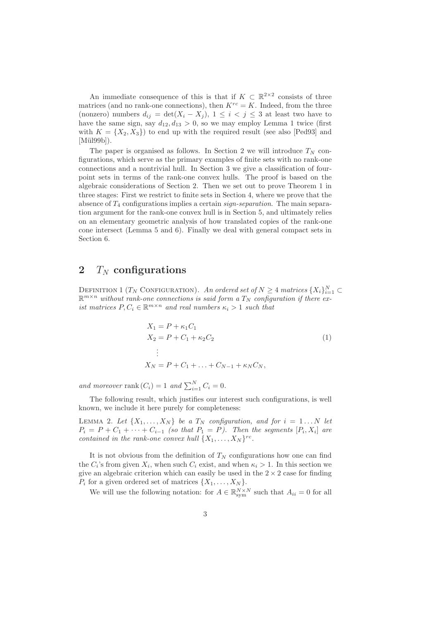An immediate consequence of this is that if  $K \subset \mathbb{R}^{2 \times 2}$  consists of three matrices (and no rank-one connections), then  $K^{rc} = K$ . Indeed, from the three (nonzero) numbers  $d_{ij} = \det(X_i - X_j)$ ,  $1 \leq i < j \leq 3$  at least two have to have the same sign, say  $d_{12}, d_{13} > 0$ , so we may employ Lemma 1 twice (first with  $K = \{X_2, X_3\}$  to end up with the required result (see also [Ped93] and  $[Mü199b]$ .

The paper is organised as follows. In Section 2 we will introduce  $T_N$  configurations, which serve as the primary examples of finite sets with no rank-one connections and a nontrivial hull. In Section 3 we give a classification of fourpoint sets in terms of the rank-one convex hulls. The proof is based on the algebraic considerations of Section 2. Then we set out to prove Theorem 1 in three stages: First we restrict to finite sets in Section 4, where we prove that the absence of T<sup>4</sup> configurations implies a certain *sign-separation*. The main separation argument for the rank-one convex hull is in Section 5, and ultimately relies on an elementary geometric analysis of how translated copies of the rank-one cone intersect (Lemma 5 and 6). Finally we deal with general compact sets in Section 6.

# **2**  $T_N$  configurations

DEFINITION 1 (T<sub>N</sub> CONFIGURATION). An ordered set of  $N \geq 4$  matrices  $\{X_i\}_{i=1}^N \subset$  $\mathbb{R}^{m \times n}$  without rank-one connections is said form a  $T_N$  configuration if there ex*ist matrices*  $P, C_i \in \mathbb{R}^{m \times n}$  *and real numbers*  $\kappa_i > 1$  *such that* 

$$
X_1 = P + \kappa_1 C_1
$$
  
\n
$$
X_2 = P + C_1 + \kappa_2 C_2
$$
  
\n
$$
\vdots
$$
  
\n
$$
X_N = P + C_1 + \dots + C_{N-1} + \kappa_N C_N,
$$
  
\n(1)

and moreover rank  $(C_i) = 1$  and  $\sum_{i=1}^{N} C_i = 0$ .

The following result, which justifies our interest such configurations, is well known, we include it here purely for completeness:

LEMMA 2. Let  $\{X_1, \ldots, X_N\}$  be a  $T_N$  configuration, and for  $i = 1 \ldots N$  let  $P_i = P + C_1 + \cdots + C_{i-1}$  *(so that*  $P_1 = P$ *). Then the segments*  $[P_i, X_i]$  *are contained in the rank-one convex hull*  $\{X_1, \ldots, X_N\}^{rc}$ .

It is not obvious from the definition of  $T_N$  configurations how one can find the  $C_i$ 's from given  $X_i$ , when such  $C_i$  exist, and when  $\kappa_i > 1$ . In this section we give an algebraic criterion which can easily be used in the  $2 \times 2$  case for finding  $P_i$  for a given ordered set of matrices  $\{X_1,\ldots,X_N\}$ .

We will use the following notation: for  $A \in \mathbb{R}_{\text{sym}}^{N \times N}$  such that  $A_{ii} = 0$  for all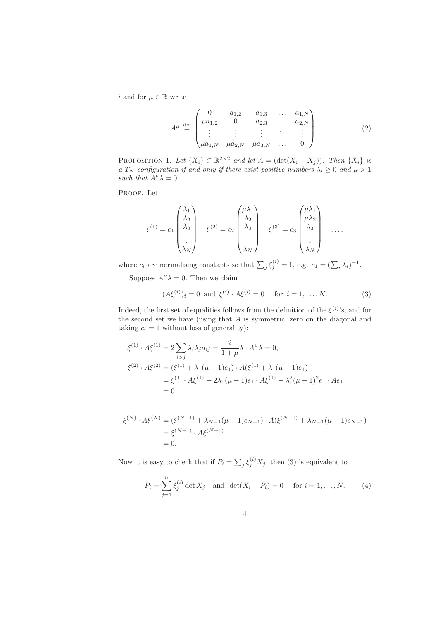i and for  $\mu \in \mathbb{R}$  write

$$
A^{\mu} \stackrel{\text{def}}{=} \begin{pmatrix} 0 & a_{1,2} & a_{1,3} & \dots & a_{1,N} \\ \mu a_{1,2} & 0 & a_{2,3} & \dots & a_{2,N} \\ \vdots & \vdots & \vdots & \ddots & \vdots \\ \mu a_{1,N} & \mu a_{2,N} & \mu a_{3,N} & \dots & 0 \end{pmatrix} .
$$
 (2)

PROPOSITION 1. Let  $\{X_i\} \subset \mathbb{R}^{2 \times 2}$  and let  $A = (\det(X_i - X_j))$ . Then  $\{X_i\}$  is *a*  $T_N$  *configuration if and only if there exist positive numbers*  $\lambda_i \geq 0$  *and*  $\mu > 1$ *such that*  $A^{\mu} \lambda = 0$ *.* 

PROOF. Let

$$
\xi^{(1)} = c_1 \begin{pmatrix} \lambda_1 \\ \lambda_2 \\ \lambda_3 \\ \vdots \\ \lambda_N \end{pmatrix} \quad \xi^{(2)} = c_2 \begin{pmatrix} \mu \lambda_1 \\ \lambda_2 \\ \lambda_3 \\ \vdots \\ \lambda_N \end{pmatrix} \quad \xi^{(3)} = c_3 \begin{pmatrix} \mu \lambda_1 \\ \mu \lambda_2 \\ \lambda_3 \\ \vdots \\ \lambda_N \end{pmatrix} \quad \dots,
$$

where  $c_i$  are normalising constants so that  $\sum_i \xi_i^{(i)} = 1$ , e.g.  $c_1 = (\sum_i \lambda_i)^{-1}$ .

Suppose  $A^{\mu} \lambda = 0$ . Then we claim

$$
(A\xi^{(i)})_i = 0
$$
 and  $\xi^{(i)} \cdot A\xi^{(i)} = 0$  for  $i = 1, ..., N$ . (3)

Indeed, the first set of equalities follows from the definition of the  $\xi^{(i)}$ 's, and for the second set we have (using that A is symmetric, zero on the diagonal and taking  $c_i = 1$  without loss of generality):

$$
\xi^{(1)} \cdot A \xi^{(1)} = 2 \sum_{i > j} \lambda_i \lambda_j a_{ij} = \frac{2}{1 + \mu} \lambda \cdot A^{\mu} \lambda = 0,
$$
  
\n
$$
\xi^{(2)} \cdot A \xi^{(2)} = (\xi^{(1)} + \lambda_1(\mu - 1)e_1) \cdot A(\xi^{(1)} + \lambda_1(\mu - 1)e_1)
$$
  
\n
$$
= \xi^{(1)} \cdot A \xi^{(1)} + 2\lambda_1(\mu - 1)e_1 \cdot A \xi^{(1)} + \lambda_1^2(\mu - 1)^2 e_1 \cdot A e_1
$$
  
\n
$$
= 0
$$
  
\n:  
\n:  
\n:  
\n:  
\n:  
\n
$$
\xi^{(N)} \cdot A \xi^{(N)} = (\xi^{(N-1)} + \lambda_{N-1}(\mu - 1)e_{N-1}) \cdot A(\xi^{(N-1)} + \lambda_{N-1}(\mu - 1)e_{N-1})
$$
  
\n
$$
= \xi^{(N-1)} \cdot A \xi^{(N-1)}
$$
  
\n
$$
= 0.
$$

Now it is easy to check that if  $P_i = \sum_j \xi_j^{(i)} X_j$ , then (3) is equivalent to

$$
P_i = \sum_{j=1}^n \xi_j^{(i)} \det X_j \text{ and } \det(X_i - P_i) = 0 \text{ for } i = 1, ..., N. \tag{4}
$$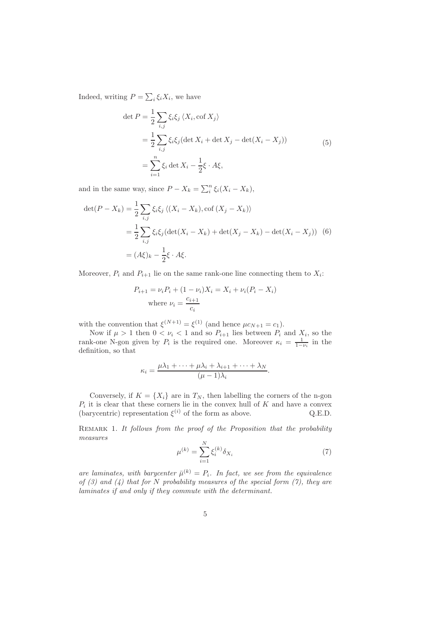Indeed, writing  $P = \sum_i \xi_i X_i$ , we have

$$
\det P = \frac{1}{2} \sum_{i,j} \xi_i \xi_j \langle X_i, \text{cof } X_j \rangle
$$
  
= 
$$
\frac{1}{2} \sum_{i,j} \xi_i \xi_j (\det X_i + \det X_j - \det(X_i - X_j))
$$
  
= 
$$
\sum_{i=1}^n \xi_i \det X_i - \frac{1}{2} \xi \cdot A \xi,
$$
 (5)

and in the same way, since  $P - X_k = \sum_i^n \xi_i (X_i - X_k)$ ,

$$
\det(P - X_k) = \frac{1}{2} \sum_{i,j} \xi_i \xi_j \langle (X_i - X_k), \text{cof}(X_j - X_k) \rangle
$$
  

$$
= \frac{1}{2} \sum_{i,j} \xi_i \xi_j (\det(X_i - X_k) + \det(X_j - X_k) - \det(X_i - X_j)) \tag{6}
$$
  

$$
= (A\xi)_k - \frac{1}{2}\xi \cdot A\xi.
$$

Moreover,  $P_i$  and  $P_{i+1}$  lie on the same rank-one line connecting them to  $X_i$ :

$$
P_{i+1} = \nu_i P_i + (1 - \nu_i) X_i = X_i + \nu_i (P_i - X_i)
$$
  
where  $\nu_i = \frac{c_{i+1}}{c_i}$ 

with the convention that  $\xi^{(N+1)} = \xi^{(1)}$  (and hence  $\mu c_{N+1} = c_1$ ).

Now if  $\mu > 1$  then  $0 < \nu_i < 1$  and so  $P_{i+1}$  lies between  $P_i$  and  $X_i$ , so the rank-one N-gon given by  $P_i$  is the required one. Moreover  $\kappa_i = \frac{1}{1-\nu_i}$  in the definition, so that

$$
\kappa_i = \frac{\mu\lambda_1 + \dots + \mu\lambda_i + \lambda_{i+1} + \dots + \lambda_N}{(\mu - 1)\lambda_i}.
$$

Conversely, if  $K = \{X_i\}$  are in  $T_N$ , then labelling the corners of the n-gon  $P_i$  it is clear that these corners lie in the convex hull of K and have a convex (barycentric) representation  $\xi^{(i)}$  of the form as above. Q.E.D.

Remark 1. *It follows from the proof of the Proposition that the probability measures*

$$
\mu^{(k)} = \sum_{i=1}^{N} \xi_i^{(k)} \delta_{X_i} \tag{7}
$$

*are laminates, with barycenter*  $\bar{\mu}^{(k)} = P_i$ *. In fact, we see from the equivalence of (3) and (4) that for* N *probability measures of the special form (7), they are laminates if and only if they commute with the determinant.*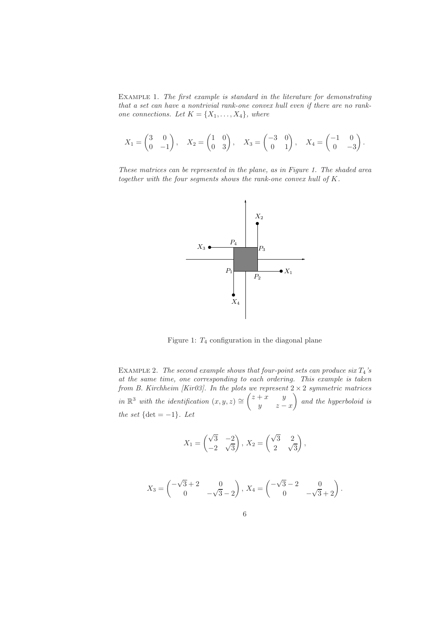Example 1. *The first example is standard in the literature for demonstrating that a set can have a nontrivial rank-one convex hull even if there are no rankone connections.* Let  $K = \{X_1, \ldots, X_4\}$ *, where* 

$$
X_1 = \begin{pmatrix} 3 & 0 \\ 0 & -1 \end{pmatrix}, X_2 = \begin{pmatrix} 1 & 0 \\ 0 & 3 \end{pmatrix}, X_3 = \begin{pmatrix} -3 & 0 \\ 0 & 1 \end{pmatrix}, X_4 = \begin{pmatrix} -1 & 0 \\ 0 & -3 \end{pmatrix}.
$$

*These matrices can be represented in the plane, as in Figure 1. The shaded area together with the four segments shows the rank-one convex hull of* K*.*



Figure 1:  $T_4$  configuration in the diagonal plane

EXAMPLE 2. *The second example shows that four-point sets can produce six*  $T_4$ 's *at the same time, one corresponding to each ordering. This example is taken from B. Kirchheim [Kir03]. In the plots we represent* 2 × 2 *symmetric matrices in*  $\mathbb{R}^3$  *with the identification*  $(x, y, z) \cong \begin{pmatrix} z + x & y \\ y & z \end{pmatrix}$  $y \t z - x$ - *and the hyperboloid is the set*  $\{\det = -1\}$ *. Let* 

$$
X_1 = \begin{pmatrix} \sqrt{3} & -2 \\ -2 & \sqrt{3} \end{pmatrix}, X_2 = \begin{pmatrix} \sqrt{3} & 2 \\ 2 & \sqrt{3} \end{pmatrix}
$$

,

$$
X_3 = \begin{pmatrix} -\sqrt{3} + 2 & 0 \\ 0 & -\sqrt{3} - 2 \end{pmatrix}, X_4 = \begin{pmatrix} -\sqrt{3} - 2 & 0 \\ 0 & -\sqrt{3} + 2 \end{pmatrix}.
$$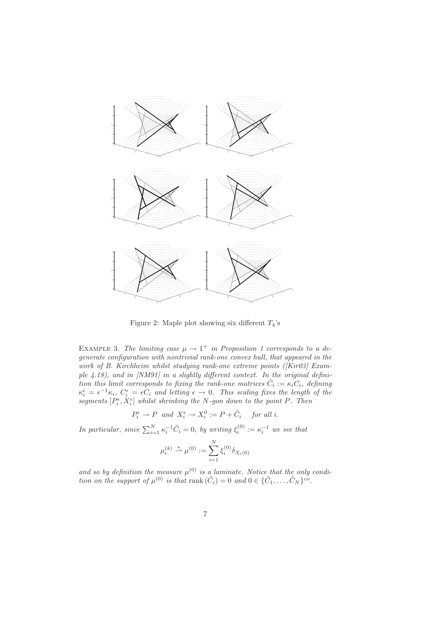

Figure 2: Maple plot showing six different  $T_4$ 's

EXAMPLE 3. The limiting case  $\mu \rightarrow 1^+$  in Proposition 1 corresponds to a de*generate configuration with nontrivial rank-one convex hull, that appeared in the work of B. Kirchheim whilst studying rank-one extreme points ([Kir03] Example 4.18), and in [NM91] in a slightly different context. In the original definition this limit corresponds to fixing the rank-one matrices*  $\tilde{C}_i := \kappa_i C_i$ *, defining*  $\kappa_i^{\epsilon} = \epsilon^{-1} \kappa_i$ ,  $C_i^{\epsilon} = \epsilon C_i$  and letting  $\epsilon \to 0$ . This scaling fixes the length of the  ${\rm degments}\,[P_i^{\epsilon},X_i^{\epsilon}]$  whilst shrinking the N-gon down to the point P. Then

$$
P_i^{\epsilon} \to P \quad and \quad X_i^{\epsilon} \to X_i^0 := P + \tilde{C}_i \quad for \text{ all } i.
$$

*In particular, since*  $\sum_{i=1}^{N} \kappa_i^{-1} \tilde{C}_i = 0$ , by writing  $\xi_i^{(0)} := \kappa_i^{-1}$  we see that

$$
\mu_\epsilon^{(k)} \stackrel{*}{\rightharpoonup} \mu^{(0)} := \sum_{i=1}^N \xi_i^{(0)} \delta_{X_i(0)}
$$

and so by definition the measure  $\mu^{(0)}$  is a laminate. Notice that the only condi*tion on the support of*  $\mu^{(0)}$  *is that* rank  $(\tilde{C}_i)=0$  *and*  $0 \in {\tilde{C}_1, \ldots, \tilde{C}_N}$   $c^o$ .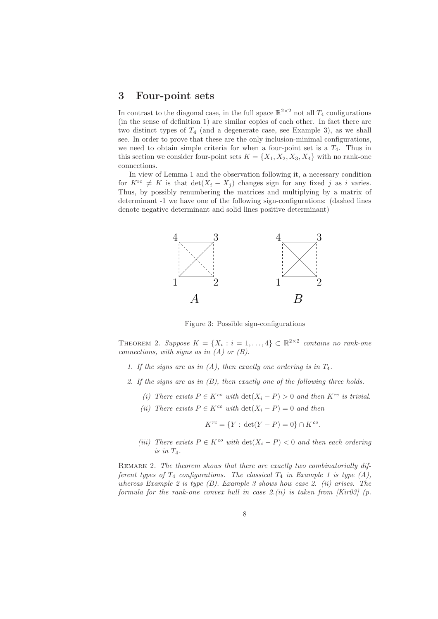#### **3 Four-point sets**

In contrast to the diagonal case, in the full space  $\mathbb{R}^{2\times 2}$  not all  $T_4$  configurations (in the sense of definition 1) are similar copies of each other. In fact there are two distinct types of  $T_4$  (and a degenerate case, see Example 3), as we shall see. In order to prove that these are the only inclusion-minimal configurations, we need to obtain simple criteria for when a four-point set is a  $T_4$ . Thus in this section we consider four-point sets  $K = \{X_1, X_2, X_3, X_4\}$  with no rank-one connections.

In view of Lemma 1 and the observation following it, a necessary condition for  $K^{\text{rc}} \neq K$  is that  $\det(X_i - X_j)$  changes sign for any fixed j as i varies. Thus, by possibly renumbering the matrices and multiplying by a matrix of determinant -1 we have one of the following sign-configurations: (dashed lines denote negative determinant and solid lines positive determinant)



Figure 3: Possible sign-configurations

THEOREM 2. *Suppose*  $K = \{X_i : i = 1, ..., 4\} \subset \mathbb{R}^{2 \times 2}$  *contains no rank-one connections, with signs as in (A) or (B).*

- *1. If the signs are as in (A), then exactly one ordering is in* T4*.*
- *2. If the signs are as in (B), then exactly one of the following three holds.*
	- *(i)* There exists  $P ∈ K^{co}$  with  $\det(X_i P) > 0$  and then  $K^{rc}$  is trivial.
	- *(ii)* There exists  $P \in K^{co}$  with  $\det(X_i P) = 0$  and then

$$
K^{rc} = \{ Y : \det(Y - P) = 0 \} \cap K^{co}.
$$

*(iii)* There exists  $P ∈ K<sup>co</sup>$  *with*  $det(X<sub>i</sub> - P) < 0$  *and then each ordering is in* T4*.*

REMARK 2. The theorem shows that there are exactly two combinatorially dif*ferent types of*  $T_4$  *configurations. The classical*  $T_4$  *in Example 1 is type (A), whereas Example 2 is type (B). Example 3 shows how case 2. (ii) arises. The formula for the rank-one convex hull in case 2.(ii) is taken from [Kir03] (p.*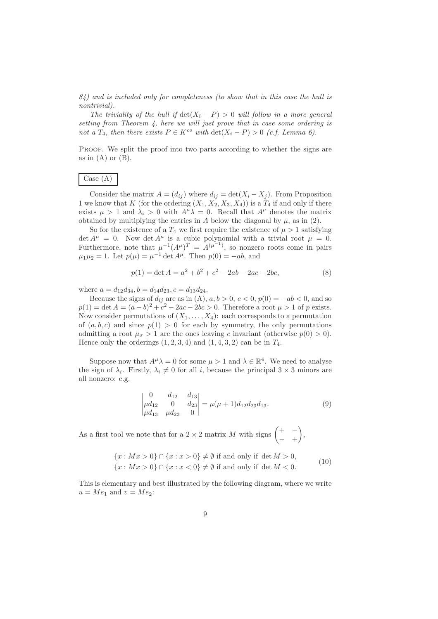*84) and is included only for completeness (to show that in this case the hull is nontrivial).*

*The triviality of the hull if*  $det(X_i - P) > 0$  *will follow in a more general setting from Theorem 4, here we will just prove that in case some ordering is not a*  $T_4$ *, then there exists*  $P \in K^{co}$  *with*  $\det(X_i - P) > 0$  *(c.f. Lemma 6).* 

PROOF. We split the proof into two parts according to whether the signs are as in  $(A)$  or  $(B)$ .

# Case (A)

Consider the matrix  $A = (d_{ij})$  where  $d_{ij} = \det(X_i - X_j)$ . From Proposition 1 we know that K (for the ordering  $(X_1, X_2, X_3, X_4)$ ) is a  $T_4$  if and only if there exists  $\mu > 1$  and  $\lambda_i > 0$  with  $A^{\mu} \lambda = 0$ . Recall that  $A^{\mu}$  denotes the matrix obtained by multiplying the entries in A below the diagonal by  $\mu$ , as in (2).

So for the existence of a  $T_4$  we first require the existence of  $\mu > 1$  satisfying det  $A^{\mu} = 0$ . Now det  $A^{\mu}$  is a cubic polynomial with a trivial root  $\mu = 0$ . Furthermore, note that  $\mu^{-1}(A^{\mu})^T = A^{(\mu^{-1})}$ , so nonzero roots come in pairs  $\mu_1 \mu_2 = 1$ . Let  $p(\mu) = \mu^{-1} \det A^{\mu}$ . Then  $p(0) = -ab$ , and

$$
p(1) = \det A = a^2 + b^2 + c^2 - 2ab - 2ac - 2bc,
$$
\n(8)

where  $a = d_{12}d_{34}$ ,  $b = d_{14}d_{23}$ ,  $c = d_{13}d_{24}$ .

Because the signs of  $d_{ij}$  are as in (A),  $a, b > 0$ ,  $c < 0$ ,  $p(0) = -ab < 0$ , and so  $p(1) = \det A = (a - b)^2 + c^2 - 2ac - 2bc > 0$ . Therefore a root  $\mu > 1$  of p exists. Now consider permutations of  $(X_1, \ldots, X_4)$ : each corresponds to a permutation of  $(a, b, c)$  and since  $p(1) > 0$  for each by symmetry, the only permutations admitting a root  $\mu_{\sigma} > 1$  are the ones leaving c invariant (otherwise  $p(0) > 0$ ). Hence only the orderings  $(1, 2, 3, 4)$  and  $(1, 4, 3, 2)$  can be in  $T_4$ .

Suppose now that  $A^{\mu}\lambda = 0$  for some  $\mu > 1$  and  $\lambda \in \mathbb{R}^{4}$ . We need to analyse the sign of  $\lambda_i$ . Firstly,  $\lambda_i \neq 0$  for all i, because the principal  $3 \times 3$  minors are all nonzero: e.g.

$$
\begin{vmatrix} 0 & d_{12} & d_{13} \ \mu d_{12} & 0 & d_{23} \ \mu d_{13} & \mu d_{23} & 0 \end{vmatrix} = \mu(\mu + 1) d_{12} d_{23} d_{13}.
$$
 (9)

As a first tool we note that for a 2  $\times$  2 matrix M with signs  $\begin{pmatrix} + & - \ & + \end{pmatrix}$ − +  $\Big),$ 

$$
\{x: Mx > 0\} \cap \{x: x > 0\} \neq \emptyset \text{ if and only if } \det M > 0,
$$
  

$$
\{x: Mx > 0\} \cap \{x: x < 0\} \neq \emptyset \text{ if and only if } \det M < 0.
$$
 (10)

This is elementary and best illustrated by the following diagram, where we write  $u = Me_1$  and  $v = Me_2$ :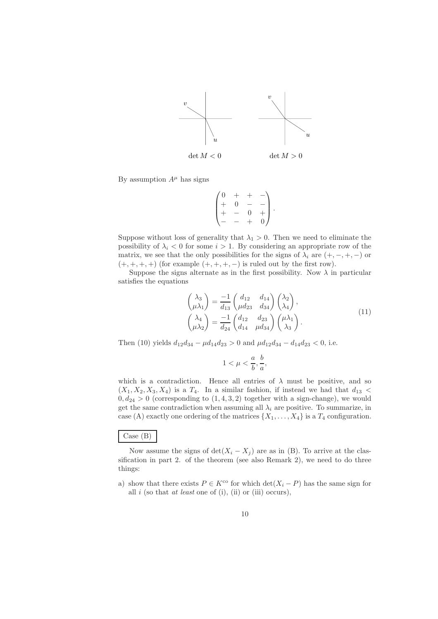

By assumption  $A^{\mu}$  has signs

$$
\begin{pmatrix} 0 & + & + & - \\ + & 0 & - & - \\ + & - & 0 & + \\ - & - & + & 0 \end{pmatrix}.
$$

Suppose without loss of generality that  $\lambda_1 > 0$ . Then we need to eliminate the possibility of  $\lambda_i < 0$  for some  $i > 1$ . By considering an appropriate row of the matrix, we see that the only possibilities for the signs of  $\lambda_i$  are  $(+, -, +, -)$  or  $(+, +, +, +)$  (for example  $(+, +, +, -)$  is ruled out by the first row).

Suppose the signs alternate as in the first possibility. Now  $\lambda$  in particular satisfies the equations

$$
\begin{pmatrix}\n\lambda_3 \\
\mu \lambda_1\n\end{pmatrix} = \frac{-1}{d_{13}} \begin{pmatrix} d_{12} & d_{14} \\
\mu d_{23} & d_{34}\n\end{pmatrix} \begin{pmatrix} \lambda_2 \\
\lambda_4\n\end{pmatrix},
$$
\n
$$
\begin{pmatrix}\n\lambda_4 \\
\mu \lambda_2\n\end{pmatrix} = \frac{-1}{d_{24}} \begin{pmatrix} d_{12} & d_{23} \\
d_{14} & \mu d_{34}\n\end{pmatrix} \begin{pmatrix} \mu \lambda_1 \\
\lambda_3\n\end{pmatrix}.
$$
\n(11)

Then (10) yields  $d_{12}d_{34} - \mu d_{14}d_{23} > 0$  and  $\mu d_{12}d_{34} - d_{14}d_{23} < 0$ , i.e.

$$
1<\mu<\frac{a}{b},\frac{b}{a},
$$

which is a contradiction. Hence all entries of  $\lambda$  must be positive, and so  $(X_1, X_2, X_3, X_4)$  is a  $T_4$ . In a similar fashion, if instead we had that  $d_{13}$  <  $0, d_{24} > 0$  (corresponding to  $(1, 4, 3, 2)$  together with a sign-change), we would get the same contradiction when assuming all  $\lambda_i$  are positive. To summarize, in case (A) exactly one ordering of the matrices  $\{X_1,\ldots,X_4\}$  is a  $T_4$  configuration.

#### Case (B)

Now assume the signs of  $\det(X_i - X_j)$  are as in (B). To arrive at the classification in part 2. of the theorem (see also Remark 2), we need to do three things:

a) show that there exists  $P \in K^{\text{co}}$  for which  $\det(X_i - P)$  has the same sign for all i (so that *at least* one of (i), (ii) or (iii) occurs),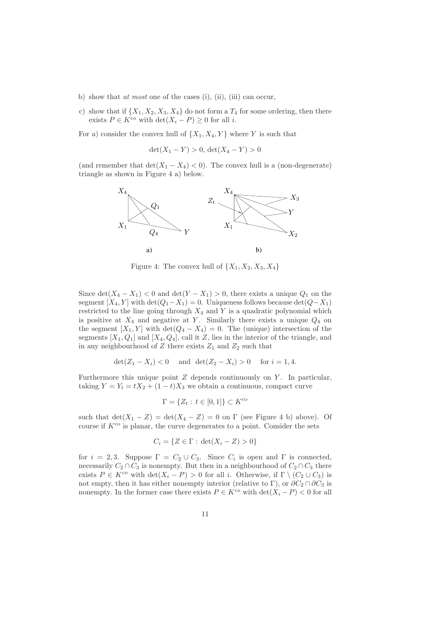- b) show that *at most* one of the cases (i), (ii), (iii) can occur,
- c) show that if  $\{X_1, X_2, X_3, X_4\}$  do not form a  $T_4$  for some ordering, then there exists  $P \in K^{\text{co}}$  with  $\det(X_i - P) \geq 0$  for all *i*.

For a) consider the convex hull of  $\{X_1, X_4, Y\}$  where Y is such that

 $\det(X_1 - Y) > 0$ ,  $\det(X_4 - Y) > 0$ 

(and remember that  $\det(X_1 - X_4) < 0$ ). The convex hull is a (non-degenerate) triangle as shown in Figure 4 a) below.



Figure 4: The convex hull of  $\{X_1, X_2, X_3, X_4\}$ 

Since  $\det(X_4 - X_1) < 0$  and  $\det(Y - X_1) > 0$ , there exists a unique  $Q_1$  on the segment  $[X_4, Y]$  with  $\det(Q_1 - X_1) = 0$ . Uniqueness follows because  $\det(Q - X_1)$ restricted to the line going through  $X_4$  and  $Y$  is a quadratic polynomial which is positive at  $X_4$  and negative at Y. Similarly there exists a unique  $Q_4$  on the segment  $[X_1, Y]$  with  $\det(Q_4 - X_4) = 0$ . The (unique) intersection of the segments  $[X_1, Q_1]$  and  $[X_4, Q_4]$ , call it Z, lies in the interior of the triangle, and in any neighbourhood of  $Z$  there exists  $Z_1$  and  $Z_2$  such that

$$
det(Z_1 - X_i) < 0
$$
 and  $det(Z_2 - X_i) > 0$  for  $i = 1, 4$ .

Furthermore this unique point  $Z$  depends continuously on  $Y$ . In particular, taking  $Y = Y_t = tX_2 + (1-t)X_3$  we obtain a continuous, compact curve

$$
\Gamma = \{ Z_t : t \in [0,1] \} \subset K^{\text{co}}
$$

such that  $\det(X_1 - Z) = \det(X_4 - Z) = 0$  on  $\Gamma$  (see Figure 4 b) above). Of course if  $K^{\text{co}}$  is planar, the curve degenerates to a point. Consider the sets

$$
C_i = \{ Z \in \Gamma : \det(X_i - Z) > 0 \}
$$

for  $i = 2, 3$ . Suppose  $\Gamma = C_2 \cup C_3$ . Since  $C_i$  is open and  $\Gamma$  is connected, necessarily  $C_2 \cap C_3$  is nonempty. But then in a neighbourhood of  $C_2 \cap C_3$  there exists  $P \in K^{co}$  with  $\det(X_i - P) > 0$  for all i. Otherwise, if  $\Gamma \setminus (C_2 \cup C_3)$  is not empty, then it has either nonempty interior (relative to Γ), or  $\partial C_2 \cap \partial C_3$  is nonempty. In the former case there exists  $P \in K^{co}$  with  $\det(X_i - P) < 0$  for all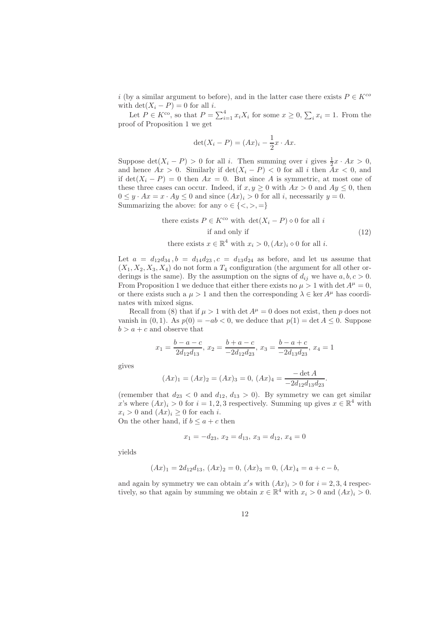i (by a similar argument to before), and in the latter case there exists  $P \in K^{co}$ with  $\det(X_i - P) = 0$  for all *i*.

Let  $P \in K^{\text{co}}$ , so that  $P = \sum_{i=1}^{4} x_i X_i$  for some  $x \geq 0$ ,  $\sum_{i} x_i = 1$ . From the proof of Proposition 1 we get

$$
\det(X_i - P) = (Ax)_i - \frac{1}{2}x \cdot Ax.
$$

Suppose  $\det(X_i - P) > 0$  for all *i*. Then summing over *i* gives  $\frac{1}{2}x \cdot Ax > 0$ , and hence  $Ax > 0$ . Similarly if  $\det(X_i - P) < 0$  for all i then  $Ax < 0$ , and if det $(X_i - P) = 0$  then  $Ax = 0$ . But since A is symmetric, at most one of these three cases can occur. Indeed, if  $x, y \ge 0$  with  $Ax > 0$  and  $Ay \le 0$ , then  $0 \leq y \cdot Ax = x \cdot Ay \leq 0$  and since  $(Ax)_i > 0$  for all i, necessarily  $y = 0$ . Summarizing the above: for any  $\diamond \in \{ \langle \rangle, \rangle, = \}$ 

there exists 
$$
P \in K^{co}
$$
 with  $det(X_i - P) \diamond 0$  for all  $i$   
if and only if  
there exists  $x \in \mathbb{R}^4$  with  $x_i > 0$ ,  $(Ax)_i \diamond 0$  for all  $i$ .  
(12)

Let  $a = d_{12}d_{34}$ ,  $b = d_{14}d_{23}$ ,  $c = d_{13}d_{24}$  as before, and let us assume that  $(X_1, X_2, X_3, X_4)$  do not form a  $T_4$  configuration (the argument for all other orderings is the same). By the assumption on the signs of  $d_{ij}$  we have  $a, b, c > 0$ . From Proposition 1 we deduce that either there exists no  $\mu > 1$  with det  $A^{\mu} = 0$ , or there exists such a  $\mu > 1$  and then the corresponding  $\lambda \in \ker A^{\mu}$  has coordinates with mixed signs.

Recall from (8) that if  $\mu > 1$  with det  $A^{\mu} = 0$  does not exist, then p does not vanish in  $(0, 1)$ . As  $p(0) = -ab < 0$ , we deduce that  $p(1) = \det A \leq 0$ . Suppose  $b > a + c$  and observe that

$$
x_1 = \frac{b-a-c}{2d_{12}d_{13}}, x_2 = \frac{b+a-c}{-2d_{12}d_{23}}, x_3 = \frac{b-a+c}{-2d_{13}d_{23}}, x_4 = 1
$$

gives

$$
(Ax)_1 = (Ax)_2 = (Ax)_3 = 0, \ (Ax)_4 = \frac{-\det A}{-2d_{12}d_{13}d_{23}}
$$

.

(remember that  $d_{23} < 0$  and  $d_{12}$ ,  $d_{13} > 0$ ). By symmetry we can get similar x's where  $(Ax)_i > 0$  for  $i = 1, 2, 3$  respectively. Summing up gives  $x \in \mathbb{R}^4$  with  $x_i > 0$  and  $(Ax)_i \geq 0$  for each i.

On the other hand, if  $b \le a + c$  then

$$
x_1 = -d_{23}, x_2 = d_{13}, x_3 = d_{12}, x_4 = 0
$$

yields

$$
(Ax)_1 = 2d_{12}d_{13}, \ (Ax)_2 = 0, \ (Ax)_3 = 0, \ (Ax)_4 = a + c - b,
$$

and again by symmetry we can obtain  $x's$  with  $(Ax)_i > 0$  for  $i = 2, 3, 4$  respectively, so that again by summing we obtain  $x \in \mathbb{R}^4$  with  $x_i > 0$  and  $(Ax)_i > 0$ .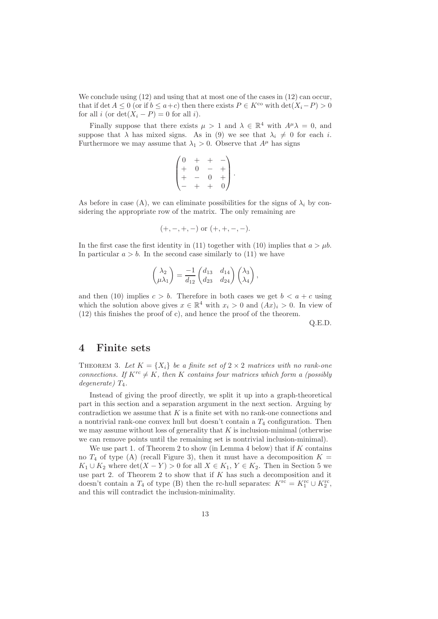We conclude using  $(12)$  and using that at most one of the cases in  $(12)$  can occur. that if det  $A \leq 0$  (or if  $b \leq a+c$ ) then there exists  $P \in K^{co}$  with  $\det(X_i - P) > 0$ for all *i* (or  $\det(X_i - P) = 0$  for all *i*).

Finally suppose that there exists  $\mu > 1$  and  $\lambda \in \mathbb{R}^4$  with  $A^{\mu} \lambda = 0$ , and suppose that  $\lambda$  has mixed signs. As in (9) we see that  $\lambda_i \neq 0$  for each i. Furthermore we may assume that  $\lambda_1 > 0$ . Observe that  $A^{\mu}$  has signs

$$
\begin{pmatrix} 0 & + & + & - \\ + & 0 & - & + \\ + & - & 0 & + \\ - & + & + & 0 \end{pmatrix}.
$$

As before in case (A), we can eliminate possibilities for the signs of  $\lambda_i$  by considering the appropriate row of the matrix. The only remaining are

$$
(+, -, +, -)
$$
 or  $(+, +, -, -)$ .

In the first case the first identity in (11) together with (10) implies that  $a > \mu b$ . In particular  $a > b$ . In the second case similarly to (11) we have

$$
\begin{pmatrix} \lambda_2 \\ \mu \lambda_1 \end{pmatrix} = \frac{-1}{d_{12}} \begin{pmatrix} d_{13} & d_{14} \\ d_{23} & d_{24} \end{pmatrix} \begin{pmatrix} \lambda_3 \\ \lambda_4 \end{pmatrix},
$$

and then (10) implies  $c > b$ . Therefore in both cases we get  $b < a + c$  using which the solution above gives  $x \in \mathbb{R}^4$  with  $x_i > 0$  and  $(Ax)_i > 0$ . In view of (12) this finishes the proof of c), and hence the proof of the theorem.

Q.E.D.

### **4 Finite sets**

THEOREM 3. Let  $K = \{X_i\}$  be a finite set of  $2 \times 2$  matrices with no rank-one *connections. If*  $K^{rc} \neq K$ *, then* K *contains four matrices which form a (possibly*  $degenerate)$   $T_4$ .

Instead of giving the proof directly, we split it up into a graph-theoretical part in this section and a separation argument in the next section. Arguing by contradiction we assume that  $K$  is a finite set with no rank-one connections and a nontrivial rank-one convex hull but doesn't contain a  $T_4$  configuration. Then we may assume without loss of generality that  $K$  is inclusion-minimal (otherwise we can remove points until the remaining set is nontrivial inclusion-minimal).

We use part 1. of Theorem 2 to show (in Lemma 4 below) that if  $K$  contains no  $T_4$  of type (A) (recall Figure 3), then it must have a decomposition  $K =$  $K_1 \cup K_2$  where  $\det(X - Y) > 0$  for all  $X \in K_1, Y \in K_2$ . Then in Section 5 we use part 2. of Theorem 2 to show that if  $K$  has such a decomposition and it doesn't contain a  $T_4$  of type (B) then the rc-hull separates:  $K^{\rm rc} = K_1^{\rm rc} \cup K_2^{\rm rc}$ , and this will contradict the inclusion-minimality.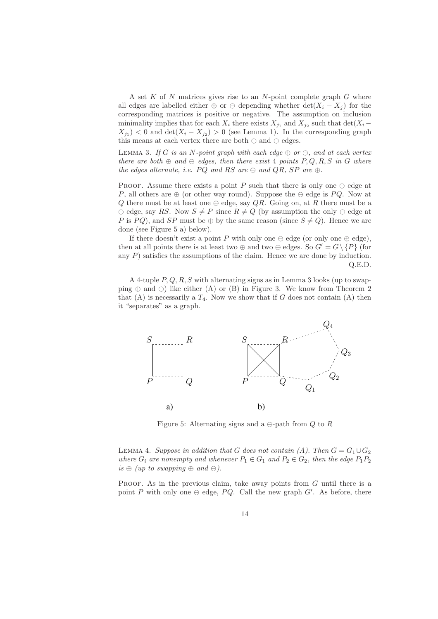A set  $K$  of  $N$  matrices gives rise to an  $N$ -point complete graph  $G$  where all edges are labelled either  $\oplus$  or  $\ominus$  depending whether  $\det(X_i - X_j)$  for the corresponding matrices is positive or negative. The assumption on inclusion minimality implies that for each  $X_i$  there exists  $X_{j_1}$  and  $X_{j_2}$  such that  $\det(X_i X_{j_1}$  < 0 and det $(X_i - X_{j_2}) > 0$  (see Lemma 1). In the corresponding graph this means at each vertex there are both  $\oplus$  and  $\ominus$  edges.

LEMMA 3. If G is an N-point graph with each edge  $\oplus$  or  $\ominus$ , and at each vertex *there are both*  $\oplus$  *and*  $\ominus$  *edges, then there exist* 4 *points*  $P, Q, R, S$  *in* G *where the edges alternate, i.e.*  $PQ$  *and*  $RS$  *are*  $\ominus$  *and*  $QR$ *,*  $SP$  *are*  $\oplus$ *.* 

PROOF. Assume there exists a point P such that there is only one  $\ominus$  edge at P, all others are  $\oplus$  (or other way round). Suppose the  $\ominus$  edge is PQ. Now at Q there must be at least one  $\oplus$  edge, say QR. Going on, at R there must be a  $\theta \in \text{edge, say } RS$ . Now  $S \neq P$  since  $R \neq Q$  (by assumption the only  $\theta$  edge at P is PQ), and SP must be  $\oplus$  by the same reason (since  $S \neq Q$ ). Hence we are done (see Figure 5 a) below).

If there doesn't exist a point P with only one  $\ominus$  edge (or only one  $\oplus$  edge), then at all points there is at least two  $\oplus$  and two  $\ominus$  edges. So  $G' = G \setminus \{P\}$  (for any  $P$ ) satisfies the assumptions of the claim. Hence we are done by induction. Q.E.D.

A 4-tuple  $P, Q, R, S$  with alternating signs as in Lemma 3 looks (up to swapping  $\oplus$  and  $\ominus$ ) like either (A) or (B) in Figure 3. We know from Theorem 2 that (A) is necessarily a  $T_4$ . Now we show that if G does not contain (A) then it "separates" as a graph.



Figure 5: Alternating signs and a  $\ominus$ -path from Q to R

LEMMA 4. *Suppose in addition that* G *does not contain (A). Then*  $G = G_1 \cup G_2$ *where*  $G_i$  *are nonempty and whenever*  $P_1 \in G_1$  *and*  $P_2 \in G_2$ *, then the edge*  $P_1P_2$  $is \oplus (up to swapping \oplus and \ominus).$ 

PROOF. As in the previous claim, take away points from  $G$  until there is a point P with only one  $\ominus$  edge, PQ. Call the new graph G'. As before, there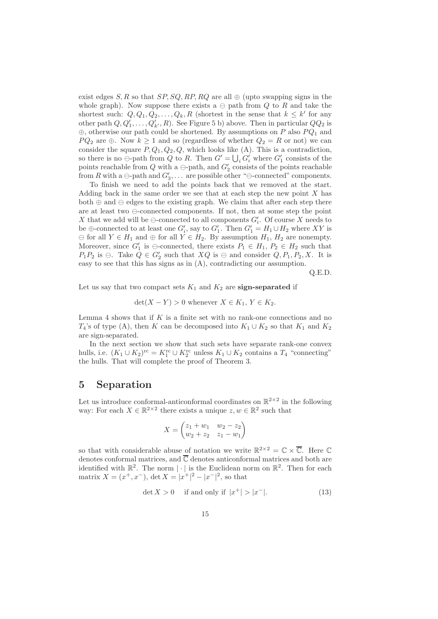exist edges S, R so that SP, SQ, RP, RQ are all  $\oplus$  (upto swapping signs in the whole graph). Now suppose there exists a  $\ominus$  path from Q to R and take the shortest such:  $Q, Q_1, Q_2, \ldots, Q_k, R$  (shortest in the sense that  $k \leq k'$  for any other path  $Q, Q'_1, \ldots, Q'_{k'}, R$ . See Figure 5 b) above. Then in particular  $QQ_2$  is  $\oplus$ , otherwise our path could be shortened. By assumptions on P also  $PQ_1$  and  $PQ_2$  are ⊕. Now  $k \ge 1$  and so (regardless of whether  $Q_2 = R$  or not) we can consider the square  $P, Q_1, Q_2, Q$ , which looks like (A). This is a contradiction, so there is no  $\ominus$ -path from Q to R. Then  $G' = \bigcup_i G'_i$  where  $G'_1$  consists of the points reachable from Q with a  $\ominus$ -path, and  $G_2'$  consists of the points reachable from R with a  $\ominus$ -path and  $G'_3, \ldots$  are possible other " $\ominus$ -connected" components.

To finish we need to add the points back that we removed at the start. Adding back in the same order we see that at each step the new point  $X$  has both  $\oplus$  and  $\ominus$  edges to the existing graph. We claim that after each step there are at least two  $\ominus$ -connected components. If not, then at some step the point X that we add will be  $\ominus$ -connected to all components  $G_i'$ . Of course X needs to be  $\oplus$ -connected to at least one  $G_i'$ , say to  $G_1'$ . Then  $G_1' = H_1 \cup H_2$  where XY is  $\Theta$  for all  $Y \in H_1$  and  $\oplus$  for all  $Y \in H_2$ . By assumption  $H_1, H_2$  are nonempty. Moreover, since  $G'_1$  is  $\ominus$ -connected, there exists  $P_1 \in H_1, P_2 \in H_2$  such that  $P_1P_2$  is  $\ominus$ . Take  $Q \in G_2'$  such that  $XQ$  is  $\ominus$  and consider  $Q, P_1, P_2, X$ . It is easy to see that this has signs as in (A), contradicting our assumption.

Q.E.D.

Let us say that two compact sets  $K_1$  and  $K_2$  are **sign-separated** if

$$
\det(X - Y) > 0 \text{ whenever } X \in K_1, Y \in K_2.
$$

Lemma 4 shows that if  $K$  is a finite set with no rank-one connections and no  $T_4$ 's of type (A), then K can be decomposed into  $K_1 \cup K_2$  so that  $K_1$  and  $K_2$ are sign-separated.

In the next section we show that such sets have separate rank-one convex hulls, i.e.  $(K_1 \cup K_2)$ <sup>rc</sup> =  $K_1^{\text{rc}} \cup K_2^{\text{rc}}$  unless  $K_1 \cup K_2$  contains a  $T_4$  "connecting" the hulls. That will complete the proof of Theorem 3.

## **5 Separation**

Let us introduce conformal-anticonformal coordinates on  $\mathbb{R}^{2\times 2}$  in the following way: For each  $X \in \mathbb{R}^{2 \times 2}$  there exists a unique  $z, w \in \mathbb{R}^2$  such that

$$
X = \begin{pmatrix} z_1 + w_1 & w_2 - z_2 \\ w_2 + z_2 & z_1 - w_1 \end{pmatrix}
$$

so that with considerable abuse of notation we write  $\mathbb{R}^{2\times 2} = \mathbb{C} \times \overline{\mathbb{C}}$ . Here  $\mathbb{C}$ denotes conformal matrices, and  $\overline{\mathbb{C}}$  denotes anticonformal matrices and both are identified with  $\mathbb{R}^2$ . The norm  $|\cdot|$  is the Euclidean norm on  $\mathbb{R}^2$ . Then for each matrix  $X = (x^+, x^-)$ , det  $X = |x^+|^2 - |x^-|^2$ , so that

$$
\det X > 0 \quad \text{if and only if } |x^+| > |x^-|.
$$
 (13)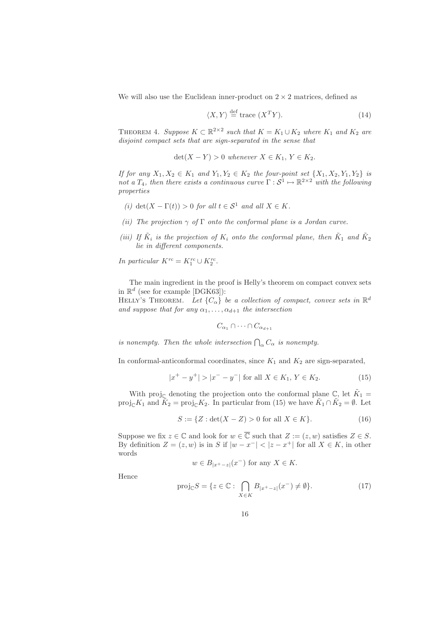We will also use the Euclidean inner-product on  $2 \times 2$  matrices, defined as

$$
\langle X, Y \rangle \stackrel{\text{def}}{=} \text{trace } (X^T Y). \tag{14}
$$

THEOREM 4. *Suppose*  $K \subset \mathbb{R}^{2 \times 2}$  *such that*  $K = K_1 \cup K_2$  *where*  $K_1$  *and*  $K_2$  *are disjoint compact sets that are sign-separated in the sense that*

$$
\det(X - Y) > 0 \text{ whenever } X \in K_1, Y \in K_2.
$$

*If for any*  $X_1, X_2 \in K_1$  *and*  $Y_1, Y_2 \in K_2$  *the four-point set*  $\{X_1, X_2, Y_1, Y_2\}$  *is not a*  $T_4$ *, then there exists a continuous curve*  $\Gamma : \mathcal{S}^1 \mapsto \mathbb{R}^{2 \times 2}$  *with the following properties*

- *(i)* det( $X \Gamma(t)$ ) > 0 *for all*  $t \in S^1$  *and all*  $X \in K$ *.*
- *(ii) The projection* γ *of* Γ *onto the conformal plane is a Jordan curve.*
- *(iii)* If  $\tilde{K}_i$  *is the projection of*  $K_i$  *onto the conformal plane, then*  $\tilde{K}_1$  *and*  $\tilde{K}_2$ *lie in different components.*

*In particular*  $K^{rc} = K_1^{rc} \cup K_2^{rc}$ .

The main ingredient in the proof is Helly's theorem on compact convex sets in  $\mathbb{R}^d$  (see for example [DGK63]):

HELLY'S THEOREM. Let  $\{C_{\alpha}\}\$ be a collection of compact, convex sets in  $\mathbb{R}^d$ *and suppose that for any*  $\alpha_1, \ldots, \alpha_{d+1}$  *the intersection* 

$$
C_{\alpha_1} \cap \cdots \cap C_{\alpha_{d+1}}
$$

*is nonempty. Then the whole intersection*  $\bigcap_{\alpha} C_{\alpha}$  *is nonempty.* 

In conformal-anticonformal coordinates, since  $K_1$  and  $K_2$  are sign-separated,

$$
|x^{+} - y^{+}| > |x^{-} - y^{-}| \text{ for all } X \in K_1, Y \in K_2.
$$
 (15)

With proj<sub>C</sub> denoting the projection onto the conformal plane  $\mathbb{C}$ , let  $\tilde{K}_1$  = proj<sub>C</sub>K<sub>1</sub> and  $\tilde{K}_2 = \text{proj}_{\mathbb{C}} K_2$ . In particular from (15) we have  $\tilde{K}_1 \cap \tilde{K}_2 = \emptyset$ . Let

$$
S := \{ Z : \det(X - Z) > 0 \text{ for all } X \in K \}. \tag{16}
$$

Suppose we fix  $z \in \mathbb{C}$  and look for  $w \in \overline{\mathbb{C}}$  such that  $Z := (z,w)$  satisfies  $Z \in S$ . By definition  $Z = (z, w)$  is in S if  $|w - x^{-}| < |z - x^{+}|$  for all  $X \in K$ , in other words

$$
w \in B_{|x^+ - z|}(x^-)
$$
 for any  $X \in K$ .

Hence

$$
\text{proj}_{\mathbb{C}}S = \{ z \in \mathbb{C} : \bigcap_{X \in K} B_{|x^+ - z|}(x^-) \neq \emptyset \}. \tag{17}
$$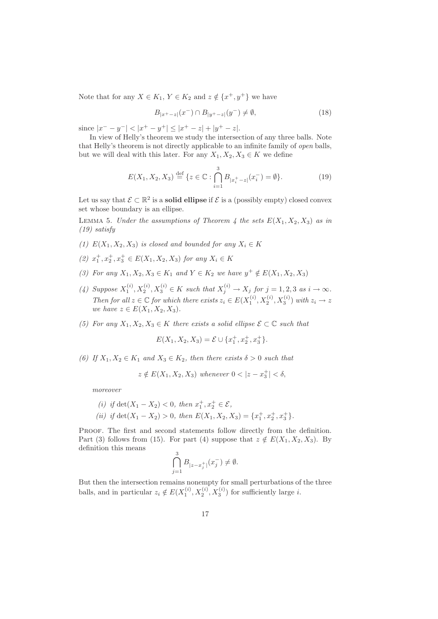Note that for any  $X \in K_1$ ,  $Y \in K_2$  and  $z \notin \{x^+, y^+\}$  we have

$$
B_{|x^{+}-z|}(x^{-}) \cap B_{|y^{+}-z|}(y^{-}) \neq \emptyset,
$$
\n(18)

since  $|x^- - y^-| < |x^+ - y^+| \le |x^+ - z| + |y^+ - z|.$ 

In view of Helly's theorem we study the intersection of any three balls. Note that Helly's theorem is not directly applicable to an infinite family of *open* balls, but we will deal with this later. For any  $X_1, X_2, X_3 \in K$  we define

$$
E(X_1, X_2, X_3) \stackrel{\text{def}}{=} \{ z \in \mathbb{C} : \bigcap_{i=1}^3 B_{|x_i^+ - z|}(x_i^-) = \emptyset \}. \tag{19}
$$

Let us say that  $\mathcal{E} \subset \mathbb{R}^2$  is a **solid ellipse** if  $\mathcal{E}$  is a (possibly empty) closed convex set whose boundary is an ellipse.

LEMMA 5. *Under the assumptions of Theorem 4 the sets*  $E(X_1, X_2, X_3)$  *as in (19) satisfy*

- (1)  $E(X_1, X_2, X_3)$  *is closed and bounded for any*  $X_i \in K$
- (2)  $x_1^+, x_2^+, x_3^+$  ∈  $E(X_1, X_2, X_3)$  *for any*  $X_i$  ∈ K
- *(3) For any*  $X_1, X_2, X_3 \in K_1$  *and*  $Y \in K_2$  *we have*  $y^+ \notin E(X_1, X_2, X_3)$
- (4) Suppose  $X_1^{(i)}$ ,  $X_2^{(i)}$ ,  $X_3^{(i)} \in K$  such that  $X_i^{(i)} \to X_j$  for  $j = 1, 2, 3$  as  $i \to \infty$ . *Then for all*  $z \in \mathbb{C}$  *for which there exists*  $z_i \in E(X_1^{(i)}, X_2^{(i)}, X_3^{(i)})$  *with*  $z_i \to z$ *we have*  $z \in E(X_1, X_2, X_3)$ *.*
- *(5) For any*  $X_1, X_2, X_3 \in K$  *there exists a solid ellipse*  $\mathcal{E} \subset \mathbb{C}$  *such that*

$$
E(X_1, X_2, X_3) = \mathcal{E} \cup \{x_1^+, x_2^+, x_3^+\}.
$$

*(6)* If  $X_1, X_2 \in K_1$  *and*  $X_3 \in K_2$ *, then there exists*  $\delta > 0$  *such that* 

$$
z \notin E(X_1, X_2, X_3) \text{ whenever } 0 < |z - x_3^+| < \delta,
$$

*moreover*

(i) if 
$$
\det(X_1 - X_2) < 0
$$
, then  $x_1^+, x_2^+ \in \mathcal{E}$ ,  
\n(ii) if  $\det(X_1 - X_2) > 0$ , then  $E(X_1, X_2, X_3) = \{x_1^+, x_2^+, x_3^+\}$ .

PROOF. The first and second statements follow directly from the definition. Part (3) follows from (15). For part (4) suppose that  $z \notin E(X_1, X_2, X_3)$ . By definition this means 3

$$
\bigcap_{j=1}^3 B_{|z-x_j^+|}(x_j^-) \neq \emptyset.
$$

But then the intersection remains nonempty for small perturbations of the three balls, and in particular  $z_i \notin E(X_1^{(i)}, X_2^{(i)}, X_3^{(i)})$  for sufficiently large *i*.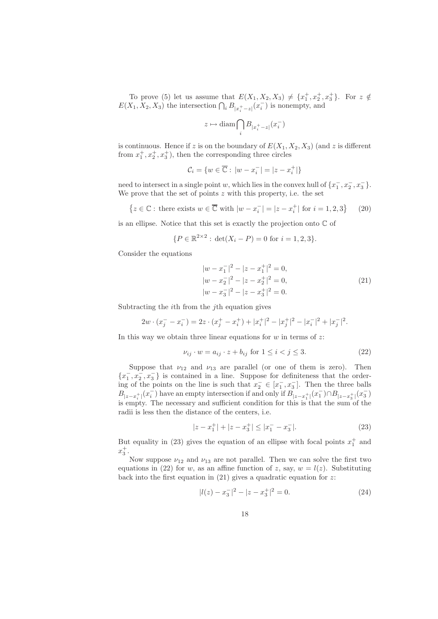To prove (5) let us assume that  $E(X_1, X_2, X_3) \neq \{x_1^+, x_2^+, x_3^+\}$ . For  $z \notin$  $E(X_1, X_2, X_3)$  the intersection  $\bigcap_i B_{|x_i^+-z|}(x_i^-)$  is nonempty, and

$$
z\mapsto \text{diam}\bigcap_i B_{|x_i^+-z|}(x_i^-)
$$

is continuous. Hence if z is on the boundary of  $E(X_1, X_2, X_3)$  (and z is different from  $x_1^+, x_2^+, x_3^+$ , then the corresponding three circles

$$
\mathcal{C}_i = \{w \in \overline{\mathbb{C}}: |w - x_i^-| = |z - x_i^+|\}
$$

need to intersect in a single point w, which lies in the convex hull of  $\{x_1^-, x_2^-, x_3^-\}$ . We prove that the set of points  $z$  with this property, i.e. the set

$$
\{z \in \mathbb{C} : \text{ there exists } w \in \overline{\mathbb{C}} \text{ with } |w - x_i^-| = |z - x_i^+| \text{ for } i = 1, 2, 3\} \qquad (20)
$$

is an ellipse. Notice that this set is exactly the projection onto  $\mathbb C$  of

$$
\{P \in \mathbb{R}^{2 \times 2} : \det(X_i - P) = 0 \text{ for } i = 1, 2, 3\}.
$$

Consider the equations

$$
|w - x_1^-|^2 - |z - x_1^+|^2 = 0,
$$
  
\n
$$
|w - x_2^-|^2 - |z - x_2^+|^2 = 0,
$$
  
\n
$$
|w - x_3^-|^2 - |z - x_3^+|^2 = 0.
$$
\n(21)

Subtracting the ith from the jth equation gives

$$
2w \cdot (x_j^- - x_i^-) = 2z \cdot (x_j^+ - x_i^+) + |x_i^+|^2 - |x_j^+|^2 - |x_i^-|^2 + |x_j^-|^2.
$$

In this way we obtain three linear equations for  $w$  in terms of  $z$ :

$$
\nu_{ij} \cdot w = a_{ij} \cdot z + b_{ij} \text{ for } 1 \le i < j \le 3. \tag{22}
$$

Suppose that  $\nu_{12}$  and  $\nu_{13}$  are parallel (or one of them is zero). Then  $\{x_1^-, x_2^-, x_3^-\}$  is contained in a line. Suppose for definiteness that the ordering of the points on the line is such that  $x_2^- \in [x_1^-, x_3^-]$ . Then the three balls  $B_{|z-x_1^+|}(x_i^-)$  have an empty intersection if and only if  $B_{|z-x_1^+|}(x_1^-) \cap B_{|z-x_3^+|}(x_3^-)$ is empty. The necessary and sufficient condition for this is that the sum of the radii is less then the distance of the centers, i.e.

$$
|z - x_1^+| + |z - x_3^+| \le |x_1^- - x_3^-|.
$$
 (23)

But equality in (23) gives the equation of an ellipse with focal points  $x_1^+$  and  $x_3^+$ .

Now suppose  $\nu_{12}$  and  $\nu_{13}$  are not parallel. Then we can solve the first two equations in (22) for w, as an affine function of z, say,  $w = l(z)$ . Substituting back into the first equation in  $(21)$  gives a quadratic equation for z:

$$
|l(z) - x_3^-|^2 - |z - x_3^+|^2 = 0.
$$
 (24)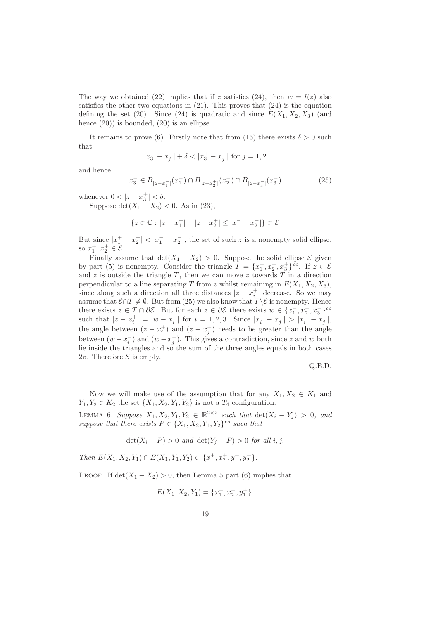The way we obtained (22) implies that if z satisfies (24), then  $w = l(z)$  also satisfies the other two equations in  $(21)$ . This proves that  $(24)$  is the equation defining the set (20). Since (24) is quadratic and since  $E(X_1, X_2, X_3)$  (and hence  $(20)$ ) is bounded,  $(20)$  is an ellipse.

It remains to prove (6). Firstly note that from (15) there exists  $\delta > 0$  such that

$$
|x_3^- - x_j^-| + \delta < |x_3^+ - x_j^+| \text{ for } j = 1, 2
$$

and hence

$$
x_3^- \in B_{|z-x_1^+|}(x_1^-) \cap B_{|z-x_2^+|}(x_2^-) \cap B_{|z-x_3^+|}(x_3^-)
$$
 (25)

whenever  $0 < |z - x_3^+| < \delta$ .

Suppose  $\det(X_1 - X_2) < 0$ . As in (23),

$$
\{z\in\mathbb{C}:\,|z-x_1^+|+|z-x_2^+|\leq |x_1^- - x_2^-|\}\subset \mathcal{E}
$$

But since  $|x_1^+ - x_2^+| < |x_1^- - x_2^-|$ , the set of such z is a nonempty solid ellipse, so  $x_1^+, x_2^+ \in \mathcal{E}$ .

Finally assume that  $\det(X_1 - X_2) > 0$ . Suppose the solid ellipse  $\mathcal E$  given by part (5) is nonempty. Consider the triangle  $T = \{x_1^+, x_2^+, x_3^+\}^{c}$ . If  $z \in \mathcal{E}$ and  $z$  is outside the triangle  $T$ , then we can move  $z$  towards  $T$  in a direction perpendicular to a line separating T from z whilst remaining in  $E(X_1, X_2, X_3)$ , since along such a direction all three distances  $|z - x_i^+|$  decrease. So we may assume that  $\mathcal{E} \cap T \neq \emptyset$ . But from (25) we also know that  $T \setminus \mathcal{E}$  is nonempty. Hence there exists  $z \in T \cap \partial \mathcal{E}$ . But for each  $z \in \partial \mathcal{E}$  there exists  $w \in \{x_1^-, x_2^-, x_3^-\}$ <sup>co</sup> such that  $|z-x_i^+| = |w-x_i^-|$  for  $i=1,2,3$ . Since  $|x_i^+ - x_i^+| > |x_i^- - x_i^-|$ , the angle between  $(z - x_i^+)$  and  $(z - x_i^+)$  needs to be greater than the angle between  $(w - x_i^{-})$  and  $(w - x_i^{-})$ . This gives a contradiction, since z and w both lie inside the triangles and so the sum of the three angles equals in both cases 2π. Therefore  $\mathcal E$  is empty.

Q.E.D.

Now we will make use of the assumption that for any  $X_1, X_2 \in K_1$  and  $Y_1, Y_2 \in K_2$  the set  $\{X_1, X_2, Y_1, Y_2\}$  is not a  $T_4$  configuration.

LEMMA 6. *Suppose*  $X_1, X_2, Y_1, Y_2 \in \mathbb{R}^{2 \times 2}$  *such that* det( $X_i - Y_j$ ) > 0*, and suppose that there exists*  $P \in \{X_1, X_2, Y_1, Y_2\}$ <sup>co</sup> *such that* 

$$
\det(X_i - P) > 0 \text{ and } \det(Y_j - P) > 0 \text{ for all } i, j.
$$

*Then*  $E(X_1, X_2, Y_1) \cap E(X_1, Y_1, Y_2) \subset \{x_1^+, x_2^+, y_1^+, y_2^+\}.$ 

PROOF. If  $\det(X_1 - X_2) > 0$ , then Lemma 5 part (6) implies that

$$
E(X_1, X_2, Y_1) = \{x_1^+, x_2^+, y_1^+\}.
$$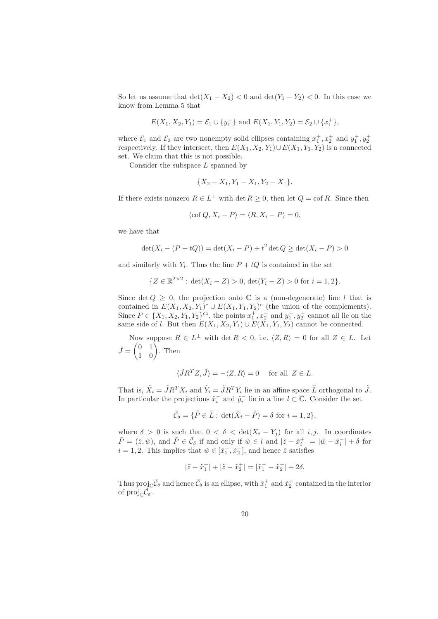So let us assume that  $\det(X_1 - X_2) < 0$  and  $\det(Y_1 - Y_2) < 0$ . In this case we know from Lemma 5 that

$$
E(X_1, X_2, Y_1) = \mathcal{E}_1 \cup \{y_1^+\}
$$
 and  $E(X_1, Y_1, Y_2) = \mathcal{E}_2 \cup \{x_1^+\}$ ,

where  $\mathcal{E}_1$  and  $\mathcal{E}_2$  are two nonempty solid ellipses containing  $x_1^+, x_2^+$  and  $y_1^+, y_2^+$ respectively. If they intersect, then  $E(X_1, X_2, Y_1) \cup E(X_1, Y_1, Y_2)$  is a connected set. We claim that this is not possible.

Consider the subspace  $L$  spanned by

$$
\{X_2 - X_1, Y_1 - X_1, Y_2 - X_1\}.
$$

If there exists nonzero  $R \in L^{\perp}$  with  $\det R \geq 0$ , then let  $Q = \text{cof } R$ . Since then

$$
\langle \operatorname{cof} Q, X_i - P \rangle = \langle R, X_i - P \rangle = 0,
$$

we have that

$$
\det(X_i - (P + tQ)) = \det(X_i - P) + t^2 \det Q \ge \det(X_i - P) > 0
$$

and similarly with  $Y_i$ . Thus the line  $P + tQ$  is contained in the set

$$
\{Z \in \mathbb{R}^{2 \times 2} : \det(X_i - Z) > 0, \det(Y_i - Z) > 0 \text{ for } i = 1, 2\}.
$$

Since det  $Q \geq 0$ , the projection onto  $\mathbb C$  is a (non-degenerate) line l that is contained in  $E(X_1, X_2, Y_1)^c \cup E(X_1, Y_1, Y_2)^c$  (the union of the complements). Since  $P \in \{X_1, X_2, Y_1, Y_2\}^{\text{co}}$ , the points  $x_1^+, x_2^+$  and  $y_1^+, y_2^+$  cannot all lie on the same side of l. But then  $E(X_1, X_2, Y_1) \cup E(X_1, Y_1, Y_2)$  cannot be connected.

Now suppose  $R \in L^{\perp}$  with  $\det R < 0$ , i.e.  $\langle Z, R \rangle = 0$  for all  $Z \in L$ . Let  $\tilde{J} = \begin{pmatrix} 0 & 1 \\ 1 & 0 \end{pmatrix}$ . Then

$$
\langle \tilde{J}R^T Z, \tilde{J} \rangle = -\langle Z, R \rangle = 0 \quad \text{ for all } Z \in L.
$$

That is,  $\tilde{X}_i = \tilde{J}R^T X_i$  and  $\tilde{Y}_i = \tilde{J}R^T Y_i$  lie in an affine space  $\tilde{L}$  orthogonal to  $\tilde{J}$ . In particular the projections  $\tilde{x}_i^-$  and  $\tilde{y}_i^-$  lie in a line  $l \subset \overline{\mathbb{C}}$ . Consider the set

$$
\tilde{\mathcal{C}}_{\delta} = \{ \tilde{P} \in \tilde{L} : \det(\tilde{X}_i - \tilde{P}) = \delta \text{ for } i = 1, 2 \},\
$$

where  $\delta > 0$  is such that  $0 < \delta < \det(X_i - Y_j)$  for all i, j. In coordinates  $\tilde{P} = (\tilde{z}, \tilde{w})$ , and  $\tilde{P} \in \tilde{C}_\delta$  if and only if  $\tilde{w} \in l$  and  $|\tilde{z} - \tilde{x}_i^+| = |\tilde{w} - \tilde{x}_i^-| + \delta$  for  $i = 1, 2$ . This implies that  $\tilde{w} \in [\tilde{x}_1^-, \tilde{x}_2^-]$ , and hence  $\tilde{z}$  satisfies

$$
|\tilde{z} - \tilde{x}_1^+| + |\tilde{z} - \tilde{x}_2^+| = |\tilde{x}_1^- - \tilde{x}_2^-| + 2\delta.
$$

Thus proj<sub>c</sub> $\tilde{C}_\delta$  and hence  $\tilde{C}_\delta$  is an ellipse, with  $\tilde{x}_1^+$  and  $\tilde{x}_2^+$  contained in the interior of  $\text{proj}_{\mathbb{C}} \tilde{\mathcal{C}}_{\delta}$ .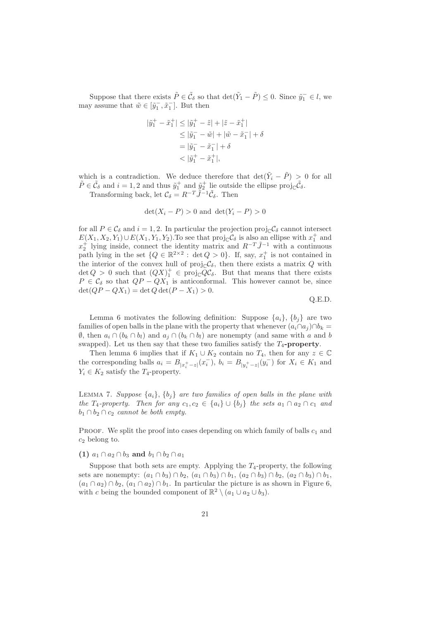Suppose that there exists  $\tilde{P} \in \tilde{C}_\delta$  so that  $\det(\tilde{Y}_1 - \tilde{P}) \leq 0$ . Since  $\tilde{y}_1^- \in l$ , we may assume that  $\tilde{w} \in [\tilde{y}_1^-, \tilde{x}_1^-]$ . But then

$$
|\tilde{y}_1^+ - \tilde{x}_1^+| \le |\tilde{y}_1^+ - \tilde{z}| + |\tilde{z} - \tilde{x}_1^+|
$$
  
\n
$$
\le |\tilde{y}_1^- - \tilde{w}| + |\tilde{w} - \tilde{x}_1^-| + \delta
$$
  
\n
$$
= |\tilde{y}_1^- - \tilde{x}_1^-| + \delta
$$
  
\n
$$
< |\tilde{y}_1^+ - \tilde{x}_1^+|,
$$

which is a contradiction. We deduce therefore that  $\det(\tilde{Y}_i - \tilde{P}) > 0$  for all  $\tilde{P} \in \tilde{C}_{\delta}$  and  $i = 1, 2$  and thus  $\tilde{y}_1^+$  and  $\tilde{y}_2^+$  lie outside the ellipse proj<sub>C</sub> $\tilde{C}_{\delta}$ .

Transforming back, let  $\mathcal{C}_{\delta} = R^{-T} \tilde{J}^{-1} \tilde{\mathcal{C}}_{\delta}$ . Then

$$
\det(X_i - P) > 0
$$
 and 
$$
\det(Y_i - P) > 0
$$

for all  $P \in \mathcal{C}_{\delta}$  and  $i = 1, 2$ . In particular the projection proj<sub>C</sub> $\mathcal{C}_{\delta}$  cannot intersect  $E(X_1, X_2, Y_1) \cup E(X_1, Y_1, Y_2)$ . To see that  $\text{proj}_{\mathbb{C}} C_{\delta}$  is also an ellipse with  $x_1^+$  and  $x_2^+$  lying inside, connect the identity matrix and  $R^{-T}\tilde{J}^{-1}$  with a continuous path lying in the set  $\{Q \in \mathbb{R}^{2 \times 2} : \det Q > 0\}$ . If, say,  $x_1^+$  is not contained in the interior of the convex hull of  $\text{proj}_{\mathbb{C}}\mathcal{C}_{\delta}$ , then there exists a matrix Q with  $\det Q > 0$  such that  $(QX)^{+}_{1} \in \text{proj}_{\mathbb{C}} QC_{\delta}$ . But that means that there exists  $P \in \mathcal{C}_{\delta}$  so that  $QP - QX_1$  is anticonformal. This however cannot be, since  $\det(QP - QX_1) = \det Q \det(P - X_1) > 0.$ 

Q.E.D.

Lemma 6 motivates the following definition: Suppose  $\{a_i\}$ ,  $\{b_i\}$  are two families of open balls in the plane with the property that whenever  $(a_i \cap a_j) \cap b_k =$  $\emptyset$ , then  $a_i ∩ (b_k ∩ b_l)$  and  $a_j ∩ (b_k ∩ b_l)$  are nonempty (and same with a and b swapped). Let us then say that these two families satisfy the  $T_4$ **-property**.

Then lemma 6 implies that if  $K_1 \cup K_2$  contain no  $T_4$ , then for any  $z \in \mathbb{C}$ the corresponding balls  $a_i = B_{|x_i^+-z|}(x_i^-), b_i = B_{|y_i^+-z|}(y_i^-)$  for  $X_i \in K_1$  and  $Y_i \in K_2$  satisfy the  $T_4$ -property.

LEMMA 7. *Suppose*  $\{a_i\}$ ,  $\{b_i\}$  *are two families of open balls in the plane with the*  $T_4$ -property. Then for any  $c_1, c_2 \in \{a_i\} \cup \{b_i\}$  *the sets*  $a_1 \cap a_2 \cap c_1$  *and*  $b_1 \cap b_2 \cap c_2$  *cannot be both empty.* 

PROOF. We split the proof into cases depending on which family of balls  $c_1$  and  $c_2$  belong to.

**(1)**  $a_1 \cap a_2 \cap b_3$  **and**  $b_1 \cap b_2 \cap a_1$ 

Suppose that both sets are empty. Applying the  $T_4$ -property, the following sets are nonempty:  $(a_1 \cap b_3) \cap b_2$ ,  $(a_1 \cap b_3) \cap b_1$ ,  $(a_2 \cap b_3) \cap b_2$ ,  $(a_2 \cap b_3) \cap b_1$ ,  $(a_1 \cap a_2) \cap b_2$ ,  $(a_1 \cap a_2) \cap b_1$ . In particular the picture is as shown in Figure 6, with c being the bounded component of  $\mathbb{R}^2 \setminus (a_1 \cup a_2 \cup b_3)$ .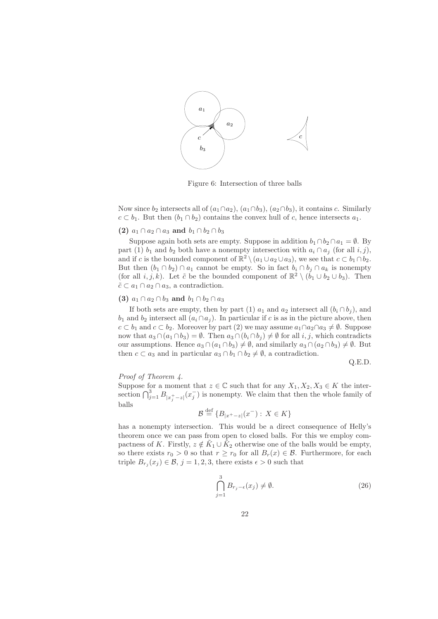

Figure 6: Intersection of three balls

Now since  $b_2$  intersects all of  $(a_1 \cap a_2)$ ,  $(a_1 \cap b_3)$ ,  $(a_2 \cap b_3)$ , it contains c. Similarly  $c \subset b_1$ . But then  $(b_1 \cap b_2)$  contains the convex hull of c, hence intersects  $a_1$ .

#### **(2)**  $a_1 ∩ a_2 ∩ a_3$  **and**  $b_1 ∩ b_2 ∩ b_3$

Suppose again both sets are empty. Suppose in addition  $b_1 \cap b_2 \cap a_1 = \emptyset$ . By part (1)  $b_1$  and  $b_2$  both have a nonempty intersection with  $a_i \cap a_j$  (for all i, j), and if c is the bounded component of  $\mathbb{R}^2 \setminus (a_1 \cup a_2 \cup a_3)$ , we see that  $c \subset b_1 \cap b_2$ . But then  $(b_1 \cap b_2) \cap a_1$  cannot be empty. So in fact  $b_i \cap b_j \cap a_k$  is nonempty (for all  $i, j, k$ ). Let  $\tilde{c}$  be the bounded component of  $\mathbb{R}^2 \setminus (b_1 \cup b_2 \cup b_3)$ . Then  $\tilde{c} \subset a_1 \cap a_2 \cap a_3$ , a contradiction.

#### **(3)**  $a_1 \cap a_2 \cap b_3$  **and**  $b_1 \cap b_2 \cap a_3$

If both sets are empty, then by part (1)  $a_1$  and  $a_2$  intersect all  $(b_i \cap b_j)$ , and  $b_1$  and  $b_2$  intersect all  $(a_i \cap a_j)$ . In particular if c is as in the picture above, then  $c \subset b_1$  and  $c \subset b_2$ . Moreover by part (2) we may assume  $a_1 \cap a_2 \cap a_3 \neq \emptyset$ . Suppose now that  $a_3 \cap (a_1 \cap b_3) = \emptyset$ . Then  $a_3 \cap (b_i \cap b_j) \neq \emptyset$  for all i, j, which contradicts our assumptions. Hence  $a_3 \cap (a_1 \cap b_3) \neq \emptyset$ , and similarly  $a_3 \cap (a_2 \cap b_3) \neq \emptyset$ . But then  $c \subset a_3$  and in particular  $a_3 \cap b_1 \cap b_2 \neq \emptyset$ , a contradiction.

Q.E.D.

#### *Proof of Theorem 4.*

Suppose for a moment that  $z \in \mathbb{C}$  such that for any  $X_1, X_2, X_3 \in K$  the intersection  $\bigcap_{j=1}^3 B_{|x_j^+-z|}(x_j^-)$  is nonempty. We claim that then the whole family of balls <sup>B</sup> def

$$
\mathcal{B} \stackrel{\text{def}}{=} \{B_{|x^+-z|}(x^-): X \in K\}
$$

has a nonempty intersection. This would be a direct consequence of Helly's theorem once we can pass from open to closed balls. For this we employ compactness of K. Firstly,  $z \notin \tilde{K}_1 \cup \tilde{K}_2$  otherwise one of the balls would be empty, so there exists  $r_0 > 0$  so that  $r \ge r_0$  for all  $B_r(x) \in \mathcal{B}$ . Furthermore, for each triple  $B_{r_i}(x_j) \in \mathcal{B}, j = 1, 2, 3$ , there exists  $\epsilon > 0$  such that

$$
\bigcap_{j=1}^{3} B_{r_j - \epsilon}(x_j) \neq \emptyset.
$$
\n(26)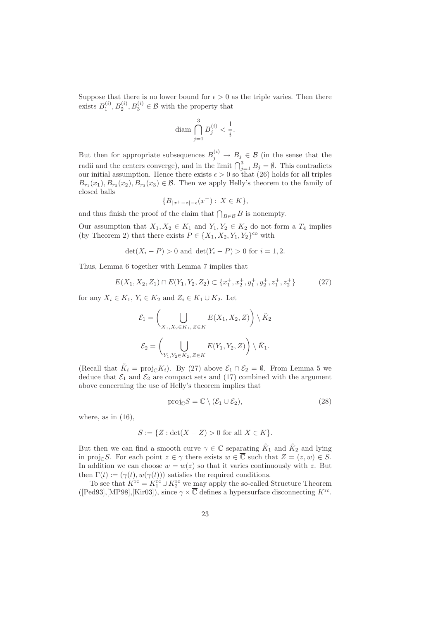Suppose that there is no lower bound for  $\epsilon > 0$  as the triple varies. Then there exists  $B_1^{(i)}$ ,  $B_2^{(i)}$ ,  $B_3^{(i)} \in \mathcal{B}$  with the property that

$$
\text{diam } \bigcap_{j=1}^3 B_j^{(i)} < \frac{1}{i}.
$$

But then for appropriate subsequences  $B_i^{(i)} \to B_j \in \mathcal{B}$  (in the sense that the radii and the centers converge), and in the limit  $\bigcap_{i=1}^3 B_i = \emptyset$ . This contradicts our initial assumption. Hence there exists  $\epsilon > 0$  so that (26) holds for all triples  $B_{r_1}(x_1), B_{r_2}(x_2), B_{r_3}(x_3) \in \mathcal{B}$ . Then we apply Helly's theorem to the family of closed balls

$$
\{\overline{B}_{|x^+-z|-\epsilon}(x^-): X \in K\},\
$$

and thus finish the proof of the claim that  $\bigcap_{B\in\mathcal{B}}B$  is nonempty.

Our assumption that  $X_1, X_2 \in K_1$  and  $Y_1, Y_2 \in K_2$  do not form a  $T_4$  implies (by Theorem 2) that there exists  $P \in \{X_1, X_2, Y_1, Y_2\}^{\text{co}}$  with

$$
det(X_i - P) > 0
$$
 and  $det(Y_i - P) > 0$  for  $i = 1, 2$ .

Thus, Lemma 6 together with Lemma 7 implies that

$$
E(X_1, X_2, Z_1) \cap E(Y_1, Y_2, Z_2) \subset \{x_1^+, x_2^+, y_1^+, y_2^+, z_1^+, z_2^+\}\tag{27}
$$

for any  $X_i \in K_1$ ,  $Y_i \in K_2$  and  $Z_i \in K_1 \cup K_2$ . Let

$$
\mathcal{E}_1 = \left( \bigcup_{X_1, X_2 \in K_1, Z \in K} E(X_1, X_2, Z) \right) \setminus \tilde{K}_2
$$
  

$$
\mathcal{E}_2 = \left( \bigcup_{Y_1, Y_2 \in K_2, Z \in K} E(Y_1, Y_2, Z) \right) \setminus \tilde{K}_1.
$$

(Recall that  $\tilde{K}_i = \text{proj}_{\mathbb{C}} K_i$ ). By (27) above  $\mathcal{E}_1 \cap \mathcal{E}_2 = \emptyset$ . From Lemma 5 we deduce that  $\mathcal{E}_1$  and  $\mathcal{E}_2$  are compact sets and (17) combined with the argument above concerning the use of Helly's theorem implies that

$$
\text{proj}_{\mathbb{C}} S = \mathbb{C} \setminus (\mathcal{E}_1 \cup \mathcal{E}_2),\tag{28}
$$

where, as in  $(16)$ ,

$$
S := \{ Z : \det(X - Z) > 0 \text{ for all } X \in K \}.
$$

But then we can find a smooth curve  $\gamma \in \mathbb{C}$  separating  $\tilde{K}_1$  and  $\tilde{K}_2$  and lying in proj<sub>C</sub>S. For each point  $z \in \gamma$  there exists  $w \in \overline{\mathbb{C}}$  such that  $Z = (z,w) \in S$ . In addition we can choose  $w = w(z)$  so that it varies continuously with z. But then  $\Gamma(t) := (\gamma(t), w(\gamma(t)))$  satisfies the required conditions.

To see that  $K^{\text{rc}} = K_1^{\text{rc}} \cup K_2^{\text{rc}}$  we may apply the so-called Structure Theorem  $([Ped93],[MP98],[Kir03]),$  since  $\gamma \times \overline{\mathbb{C}}$  defines a hypersurface disconnecting  $K^{\text{rc}}$ .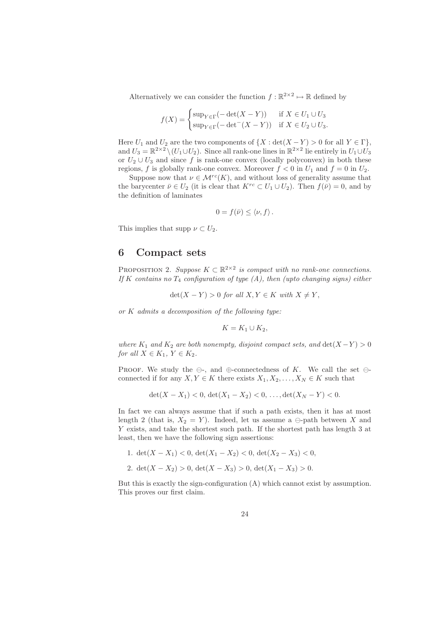Alternatively we can consider the function  $f : \mathbb{R}^{2 \times 2} \to \mathbb{R}$  defined by

$$
f(X) = \begin{cases} \sup_{Y \in \Gamma} (-\det(X - Y)) & \text{if } X \in U_1 \cup U_3 \\ \sup_{Y \in \Gamma} (-\det^{-}(X - Y)) & \text{if } X \in U_2 \cup U_3. \end{cases}
$$

Here  $U_1$  and  $U_2$  are the two components of  $\{X : \det(X - Y) > 0 \text{ for all } Y \in \Gamma\}$ , and  $U_3 = \mathbb{R}^{2 \times 2} \setminus (U_1 \cup U_2)$ . Since all rank-one lines in  $\mathbb{R}^{2 \times 2}$  lie entirely in  $U_1 \cup U_3$ or  $U_2 \cup U_3$  and since f is rank-one convex (locally polyconvex) in both these regions, f is globally rank-one convex. Moreover  $f < 0$  in  $U_1$  and  $f = 0$  in  $U_2$ .

Suppose now that  $\nu \in \mathcal{M}^{rc}(K)$ , and without loss of generality assume that the barycenter  $\bar{\nu} \in U_2$  (it is clear that  $K^{rc} \subset U_1 \cup U_2$ ). Then  $f(\bar{\nu}) = 0$ , and by the definition of laminates

$$
0 = f(\bar{\nu}) \le \langle \nu, f \rangle.
$$

This implies that supp  $\nu \subset U_2$ .

### **6 Compact sets**

PROPOSITION 2. *Suppose*  $K \subset \mathbb{R}^{2 \times 2}$  *is compact with no rank-one connections. If* K *contains no*  $T_4$  *configuration of type (A), then (upto changing signs) either* 

 $\det(X - Y) > 0$  *for all*  $X, Y \in K$  *with*  $X \neq Y$ ,

*or* K *admits a decomposition of the following type:*

$$
K = K_1 \cup K_2,
$$

*where*  $K_1$  *and*  $K_2$  *are both nonempty, disjoint compact sets, and*  $\det(X - Y) > 0$ *for all*  $X \in K_1$ ,  $Y \in K_2$ .

PROOF. We study the  $\ominus$ -, and  $\oplus$ -connectedness of K. We call the set  $\ominus$ connected if for any  $X, Y \in K$  there exists  $X_1, X_2, \ldots, X_N \in K$  such that

$$
\det(X - X_1) < 0, \, \det(X_1 - X_2) < 0, \, \dots, \det(X_N - Y) < 0.
$$

In fact we can always assume that if such a path exists, then it has at most length 2 (that is,  $X_2 = Y$ ). Indeed, let us assume a  $\ominus$ -path between X and Y exists, and take the shortest such path. If the shortest path has length 3 at least, then we have the following sign assertions:

1.  $\det(X - X_1) < 0$ ,  $\det(X_1 - X_2) < 0$ ,  $\det(X_2 - X_3) < 0$ , 2.  $\det(X - X_2) > 0$ ,  $\det(X - X_3) > 0$ ,  $\det(X_1 - X_3) > 0$ .

But this is exactly the sign-configuration (A) which cannot exist by assumption. This proves our first claim.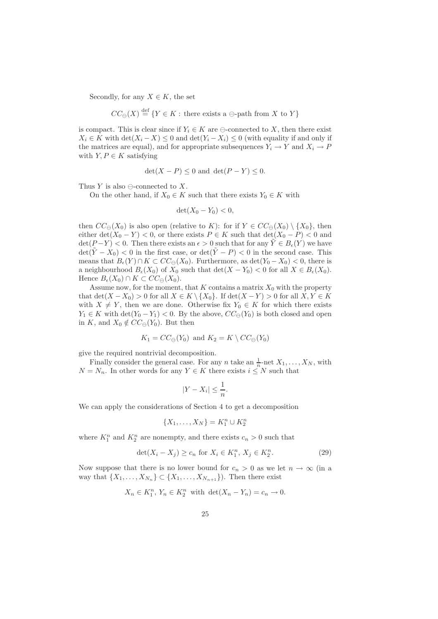Secondly, for any  $X \in K$ , the set

 $CC_{\ominus}(X) \stackrel{\text{def}}{=} \{ Y \in K : \text{ there exists a } \ominus \text{-path from } X \text{ to } Y \}$ 

is compact. This is clear since if  $Y_i \in K$  are  $\ominus$ -connected to X, then there exist  $X_i \in K$  with  $\det(X_i - X) \leq 0$  and  $\det(Y_i - X_i) \leq 0$  (with equality if and only if the matrices are equal), and for appropriate subsequences  $Y_i \to Y$  and  $X_i \to P$ with  $Y, P \in K$  satisfying

$$
\det(X - P) \le 0 \text{ and } \det(P - Y) \le 0.
$$

Thus Y is also  $\ominus$ -connected to X.

On the other hand, if  $X_0 \in K$  such that there exists  $Y_0 \in K$  with

$$
\det(X_0 - Y_0) < 0,
$$

then  $CC_{\ominus}(X_0)$  is also open (relative to K): for if  $Y \in CC_{\ominus}(X_0) \setminus \{X_0\}$ , then either det( $X_0 - Y$ ) < 0, or there exists  $P \in K$  such that  $\det(X_0 - P)$  < 0 and  $\det(P-Y) < 0$ . Then there exists an  $\epsilon > 0$  such that for any  $\tilde{Y} \in B_{\epsilon}(Y)$  we have  $\det(\tilde{Y} - X_0) < 0$  in the first case, or  $\det(\tilde{Y} - P) < 0$  in the second case. This means that  $B_{\epsilon}(Y) \cap K \subset CC_{\Theta}(X_0)$ . Furthermore, as  $\det(Y_0 - X_0) < 0$ , there is a neighbourhood  $B_{\epsilon}(X_0)$  of  $X_0$  such that  $\det(X - Y_0) < 0$  for all  $X \in B_{\epsilon}(X_0)$ . Hence  $B_{\epsilon}(X_0) \cap K \subset CC_{\Theta}(X_0)$ .

Assume now, for the moment, that K contains a matrix  $X_0$  with the property that  $\det(X - X_0) > 0$  for all  $X \in K \setminus \{X_0\}$ . If  $\det(X - Y) > 0$  for all  $X, Y \in K$ with  $X \neq Y$ , then we are done. Otherwise fix  $Y_0 \in K$  for which there exists  $Y_1 \in K$  with  $\det(Y_0 - Y_1) < 0$ . By the above,  $CC_{\ominus}(Y_0)$  is both closed and open in K, and  $X_0 \notin CC_{\ominus}(Y_0)$ . But then

$$
K_1 = CC_{\ominus}(Y_0) \text{ and } K_2 = K \setminus CC_{\ominus}(Y_0)
$$

give the required nontrivial decomposition.

Finally consider the general case. For any n take an  $\frac{1}{n}$ -net  $X_1, \ldots, X_N$ , with  $N = N_n$ . In other words for any  $Y \in K$  there exists  $i \leq N$  such that

$$
|Y - X_i| \le \frac{1}{n}.
$$

We can apply the considerations of Section 4 to get a decomposition

$$
\{X_1, \ldots, X_N\} = K_1^n \cup K_2^n
$$

where  $K_1^n$  and  $K_2^n$  are nonempty, and there exists  $c_n > 0$  such that

$$
\det(X_i - X_j) \ge c_n \text{ for } X_i \in K_1^n, X_j \in K_2^n. \tag{29}
$$

Now suppose that there is no lower bound for  $c_n > 0$  as we let  $n \to \infty$  (in a way that  $\{X_1,\ldots,X_{N_n}\}\subset \{X_1,\ldots,X_{N_{n+1}}\}$ ). Then there exist

$$
X_n \in K_1^n, Y_n \in K_2^n \text{ with } \det(X_n - Y_n) = c_n \to 0.
$$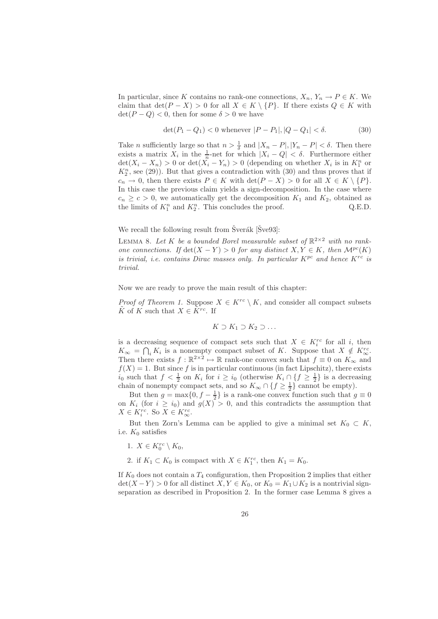In particular, since K contains no rank-one connections,  $X_n$ ,  $Y_n \to P \in K$ . We claim that  $\det(P - X) > 0$  for all  $X \in K \setminus \{P\}$ . If there exists  $Q \in K$  with  $\det(P - Q) < 0$ , then for some  $\delta > 0$  we have

$$
\det(P_1 - Q_1) < 0 \text{ whenever } |P - P_1|, |Q - Q_1| < \delta. \tag{30}
$$

Take *n* sufficiently large so that  $n > \frac{1}{\delta}$  and  $|X_n - P|, |Y_n - P| < \delta$ . Then there exists a matrix  $X_i$  in the  $\frac{1}{n}$ -net for which  $|X_i - Q| < \delta$ . Furthermore either  $\det(X_i - X_n) > 0$  or  $\det(X_i - Y_n) > 0$  (depending on whether  $X_i$  is in  $K_1^n$  or  $K_2^n$ , see (29)). But that gives a contradiction with (30) and thus proves that if  $c_n \to 0$ , then there exists  $P \in K$  with  $\det(P - X) > 0$  for all  $X \in K \setminus \{P\}.$ In this case the previous claim yields a sign-decomposition. In the case where  $c_n \geq c > 0$ , we automatically get the decomposition  $K_1$  and  $K_2$ , obtained as the limits of  $K_1^n$  and  $K_2^n$ . This concludes the proof. Q.E.D.

We recall the following result from  $\text{Sverak}$   $\text{Sve93}$ :

LEMMA 8. Let K be a bounded Borel measurable subset of  $\mathbb{R}^{2\times 2}$  with no rank*one connections.* If  $\det(X - Y) > 0$  *for any distinct*  $X, Y \in K$ *, then*  $\mathcal{M}^{pc}(K)$ *is trivial, i.e. contains Dirac masses only. In particular*  $K^{pc}$  *and hence*  $K^{rc}$  *is trivial.*

Now we are ready to prove the main result of this chapter:

*Proof of Theorem 1.* Suppose  $X \in K^{rc} \setminus K$ , and consider all compact subsets K of K such that  $X \in K^{rc}$ . If

$$
K \supset K_1 \supset K_2 \supset \ldots
$$

is a decreasing sequence of compact sets such that  $X \in K_i^{rc}$  for all i, then  $K_{\infty} = \bigcap_i K_i$  is a nonempty compact subset of K. Suppose that  $X \notin K_{\infty}^{rc}$ . Then there exists  $f : \mathbb{R}^{2 \times 2} \to \mathbb{R}$  rank-one convex such that  $f \equiv 0$  on  $K_{\infty}$  and  $f(X) = 1$ . But since f is in particular continuous (in fact Lipschitz), there exists  $i_0$  such that  $f < \frac{1}{2}$  on  $K_i$  for  $i \geq i_0$  (otherwise  $K_i \cap \{f \geq \frac{1}{2}\}\$ is a decreasing chain of nonempty compact sets, and so  $K_{\infty} \cap \{f \geq \frac{1}{2}\}\)$  cannot be empty).

But then  $g = \max\{0, f - \frac{1}{2}\}\$ is a rank-one convex function such that  $g \equiv 0$ on  $K_i$  (for  $i \geq i_0$ ) and  $g(X) > 0$ , and this contradicts the assumption that  $X \in K_i^{rc}$ . So  $\overline{X} \in K_{\infty}^{rc}$ .

But then Zorn's Lemma can be applied to give a minimal set  $K_0 \subset K$ , i.e.  $K_0$  satisfies

- 1.  $X \in K_0^{rc} \setminus K_0$ ,
- 2. if  $K_1 \subset K_0$  is compact with  $X \in K_1^{rc}$ , then  $K_1 = K_0$ .

If  $K_0$  does not contain a  $T_4$  configuration, then Proposition 2 implies that either  $\det(X - Y) > 0$  for all distinct  $X, Y \in K_0$ , or  $K_0 = K_1 \cup K_2$  is a nontrivial signseparation as described in Proposition 2. In the former case Lemma 8 gives a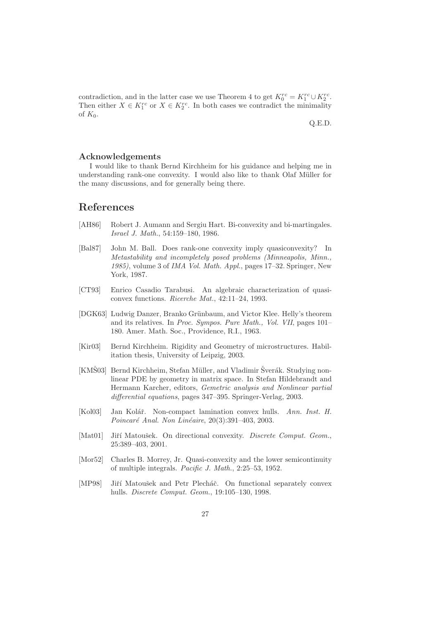contradiction, and in the latter case we use Theorem 4 to get  $K_0^{rc} = K_1^{rc} \cup K_2^{rc}$ . Then either  $X \in K_1^{rc}$  or  $X \in K_2^{rc}$ . In both cases we contradict the minimality of  $K_0$ .

Q.E.D.

#### **Acknowledgements**

I would like to thank Bernd Kirchheim for his guidance and helping me in understanding rank-one convexity. I would also like to thank Olaf Müller for the many discussions, and for generally being there.

### **References**

- [AH86] Robert J. Aumann and Sergiu Hart. Bi-convexity and bi-martingales. *Israel J. Math.*, 54:159–180, 1986.
- [Bal87] John M. Ball. Does rank-one convexity imply quasiconvexity? In *Metastability and incompletely posed problems (Minneapolis, Minn., 1985)*, volume 3 of *IMA Vol. Math. Appl.*, pages 17–32. Springer, New York, 1987.
- [CT93] Enrico Casadio Tarabusi. An algebraic characterization of quasiconvex functions. *Ricerche Mat.*, 42:11–24, 1993.
- [DGK63] Ludwig Danzer, Branko Grünbaum, and Victor Klee. Helly's theorem and its relatives. In *Proc. Sympos. Pure Math., Vol. VII*, pages 101– 180. Amer. Math. Soc., Providence, R.I., 1963.
- [Kir03] Bernd Kirchheim. Rigidity and Geometry of microstructures. Habilitation thesis, University of Leipzig, 2003.
- [KMS03] Bernd Kirchheim, Stefan Müller, and Vladimir Šverák. Studying nonlinear PDE by geometry in matrix space. In Stefan Hildebrandt and Hermann Karcher, editors, *Gemetric analysis and Nonlinear partial differential equations*, pages 347–395. Springer-Verlag, 2003.
- [Kol03] Jan Kolář. Non-compact lamination convex hulls. *Ann. Inst. H. Poincar´e Anal. Non Lin´eaire*, 20(3):391–403, 2003.
- [Mat01] Jiří Matoušek. On directional convexity. *Discrete Comput. Geom.*, 25:389–403, 2001.
- [Mor52] Charles B. Morrey, Jr. Quasi-convexity and the lower semicontinuity of multiple integrals. *Pacific J. Math.*, 2:25–53, 1952.
- [MP98] Jiří Matoušek and Petr Plecháč. On functional separately convex hulls. *Discrete Comput. Geom.*, 19:105–130, 1998.